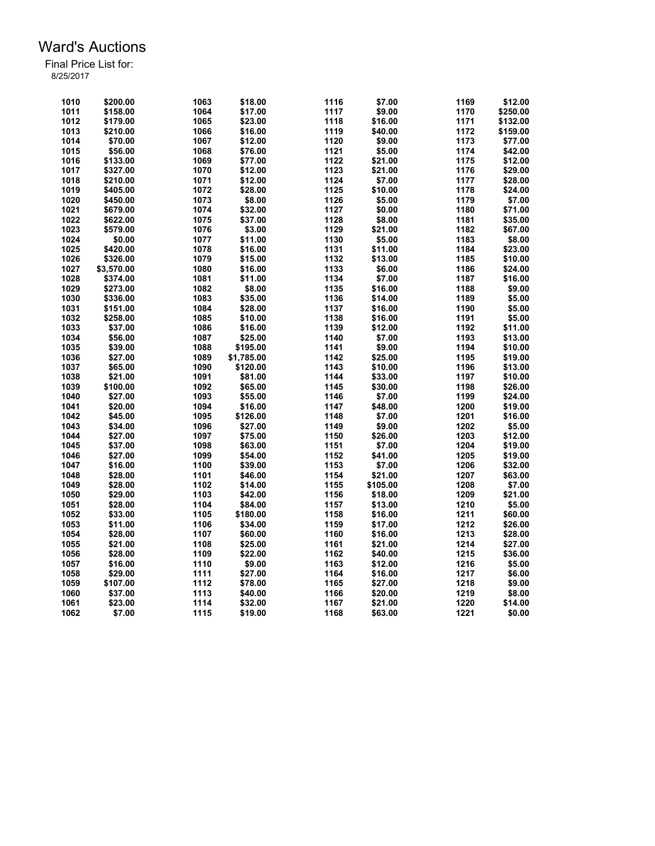| 1010 | \$200.00   | 1063 | \$18.00    | 1116 | \$7.00   | 1169 | \$12.00  |
|------|------------|------|------------|------|----------|------|----------|
| 1011 | \$158.00   | 1064 | \$17.00    | 1117 | \$9.00   | 1170 | \$250.00 |
| 1012 | \$179.00   | 1065 | \$23.00    | 1118 | \$16.00  | 1171 | \$132.00 |
| 1013 | \$210.00   | 1066 | \$16.00    | 1119 | \$40.00  | 1172 | \$159.00 |
| 1014 | \$70.00    | 1067 | \$12.00    | 1120 | \$9.00   | 1173 | \$77.00  |
| 1015 | \$56.00    | 1068 | \$76.00    | 1121 | \$5.00   | 1174 | \$42.00  |
| 1016 | \$133.00   | 1069 | \$77.00    | 1122 | \$21.00  | 1175 | \$12.00  |
| 1017 | \$327.00   | 1070 | \$12.00    | 1123 | \$21.00  | 1176 | \$29.00  |
| 1018 | \$210.00   | 1071 | \$12.00    | 1124 | \$7.00   | 1177 | \$28.00  |
| 1019 | \$405.00   | 1072 | \$28.00    | 1125 | \$10.00  | 1178 | \$24.00  |
| 1020 | \$450.00   | 1073 | \$8.00     | 1126 | \$5.00   | 1179 | \$7.00   |
| 1021 | \$679.00   | 1074 | \$32.00    | 1127 | \$0.00   | 1180 | \$71.00  |
| 1022 | \$622.00   | 1075 | \$37.00    | 1128 | \$8.00   | 1181 | \$35.00  |
| 1023 | \$579.00   | 1076 | \$3.00     | 1129 | \$21.00  | 1182 | \$67.00  |
| 1024 | \$0.00     | 1077 | \$11.00    | 1130 | \$5.00   | 1183 | \$8.00   |
| 1025 | \$420.00   | 1078 | \$16.00    | 1131 | \$11.00  | 1184 | \$23.00  |
| 1026 | \$326.00   | 1079 | \$15.00    | 1132 | \$13.00  | 1185 | \$10.00  |
| 1027 | \$3,570.00 | 1080 | \$16.00    | 1133 | \$6.00   | 1186 | \$24.00  |
| 1028 | \$374.00   | 1081 | \$11.00    | 1134 | \$7.00   | 1187 | \$16.00  |
| 1029 | \$273.00   | 1082 | \$8.00     | 1135 | \$16.00  | 1188 | \$9.00   |
| 1030 | \$336.00   | 1083 | \$35.00    | 1136 | \$14.00  | 1189 | \$5.00   |
| 1031 | \$151.00   | 1084 | \$28.00    | 1137 |          | 1190 | \$5.00   |
|      |            |      |            | 1138 | \$16.00  | 1191 |          |
| 1032 | \$258.00   | 1085 | \$10.00    |      | \$16.00  |      | \$5.00   |
| 1033 | \$37.00    | 1086 | \$16.00    | 1139 | \$12.00  | 1192 | \$11.00  |
| 1034 | \$56.00    | 1087 | \$25.00    | 1140 | \$7.00   | 1193 | \$13.00  |
| 1035 | \$39.00    | 1088 | \$195.00   | 1141 | \$9.00   | 1194 | \$10.00  |
| 1036 | \$27.00    | 1089 | \$1,785.00 | 1142 | \$25.00  | 1195 | \$19.00  |
| 1037 | \$65.00    | 1090 | \$120.00   | 1143 | \$10.00  | 1196 | \$13.00  |
| 1038 | \$21.00    | 1091 | \$81.00    | 1144 | \$33.00  | 1197 | \$10.00  |
| 1039 | \$100.00   | 1092 | \$65.00    | 1145 | \$30.00  | 1198 | \$26.00  |
| 1040 | \$27.00    | 1093 | \$55.00    | 1146 | \$7.00   | 1199 | \$24.00  |
| 1041 | \$20.00    | 1094 | \$16.00    | 1147 | \$48.00  | 1200 | \$19.00  |
| 1042 | \$45.00    | 1095 | \$126.00   | 1148 | \$7.00   | 1201 | \$16.00  |
| 1043 | \$34.00    | 1096 | \$27.00    | 1149 | \$9.00   | 1202 | \$5.00   |
| 1044 | \$27.00    | 1097 | \$75.00    | 1150 | \$26.00  | 1203 | \$12.00  |
| 1045 | \$37.00    | 1098 | \$63.00    | 1151 | \$7.00   | 1204 | \$19.00  |
| 1046 | \$27.00    | 1099 | \$54.00    | 1152 | \$41.00  | 1205 | \$19.00  |
| 1047 | \$16.00    | 1100 | \$39.00    | 1153 | \$7.00   | 1206 | \$32.00  |
| 1048 | \$28.00    | 1101 | \$46.00    | 1154 | \$21.00  | 1207 | \$63.00  |
| 1049 | \$28.00    | 1102 | \$14.00    | 1155 | \$105.00 | 1208 | \$7.00   |
| 1050 | \$29.00    | 1103 | \$42.00    | 1156 | \$18.00  | 1209 | \$21.00  |
| 1051 | \$28.00    | 1104 | \$84.00    | 1157 | \$13.00  | 1210 | \$5.00   |
| 1052 | \$33.00    | 1105 | \$180.00   | 1158 | \$16.00  | 1211 | \$60.00  |
| 1053 | \$11.00    | 1106 | \$34.00    | 1159 | \$17.00  | 1212 | \$26.00  |
| 1054 | \$28.00    | 1107 | \$60.00    | 1160 | \$16.00  | 1213 | \$28.00  |
| 1055 | \$21.00    | 1108 | \$25.00    | 1161 | \$21.00  | 1214 | \$27.00  |
| 1056 | \$28.00    | 1109 | \$22.00    | 1162 | \$40.00  | 1215 | \$36.00  |
| 1057 | \$16.00    | 1110 | \$9.00     | 1163 | \$12.00  | 1216 | \$5.00   |
| 1058 | \$29.00    | 1111 | \$27.00    | 1164 | \$16.00  | 1217 | \$6.00   |
| 1059 | \$107.00   | 1112 | \$78.00    | 1165 | \$27.00  | 1218 | \$9.00   |
| 1060 | \$37.00    | 1113 | \$40.00    | 1166 | \$20.00  | 1219 | \$8.00   |
| 1061 | \$23.00    | 1114 | \$32.00    | 1167 | \$21.00  | 1220 | \$14.00  |
| 1062 | \$7.00     | 1115 | \$19.00    | 1168 | \$63.00  | 1221 | \$0.00   |
|      |            |      |            |      |          |      |          |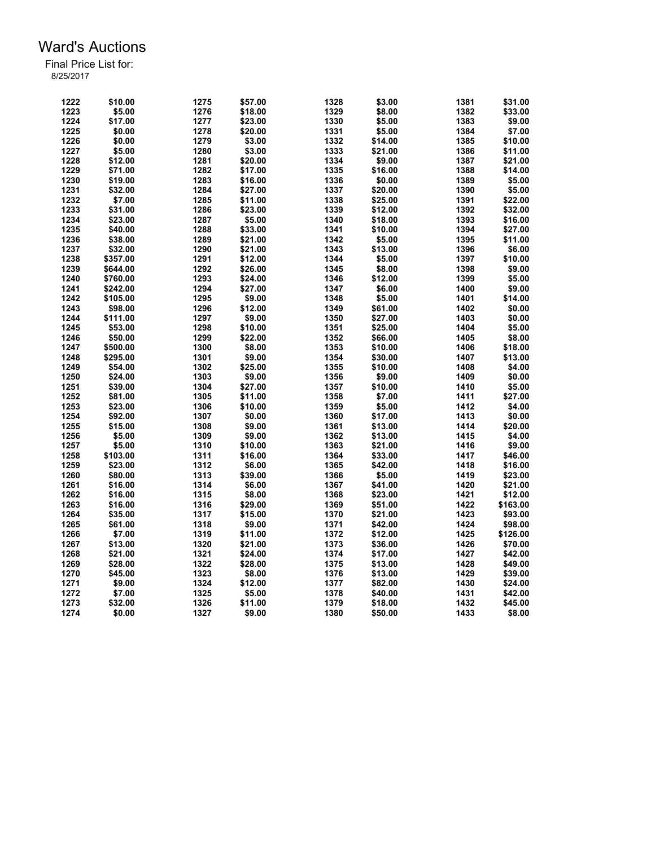| 1223<br>1329<br>\$5.00<br>1276<br>\$18.00<br>\$8.00<br>1382<br>\$33.00<br>1224<br>\$17.00<br>1277<br>1330<br>\$5.00<br>1383<br>\$9.00<br>\$23.00<br>1331<br>1225<br>\$0.00<br>1278<br>\$20.00<br>\$5.00<br>1384<br>\$7.00<br>1385<br>1226<br>1279<br>1332<br>\$14.00<br>\$0.00<br>\$3.00<br>\$10.00<br>1227<br>1333<br>1386<br>\$5.00<br>1280<br>\$3.00<br>\$21.00<br>\$11.00<br>1228<br>1281<br>1334<br>\$9.00<br>1387<br>\$12.00<br>\$20.00<br>\$21.00<br>1335<br>1229<br>\$16.00<br>1388<br>\$14.00<br>\$71.00<br>1282<br>\$17.00<br>1336<br>1230<br>1283<br>\$0.00<br>1389<br>\$19.00<br>\$16.00<br>\$5.00<br>1231<br>\$32.00<br>1284<br>1337<br>\$20.00<br>1390<br>\$5.00<br>\$27.00<br>1232<br>1338<br>1391<br>\$7.00<br>1285<br>\$11.00<br>\$25.00<br>\$22.00<br>1233<br>\$31.00<br>1286<br>\$23.00<br>1339<br>\$12.00<br>1392<br>\$32.00<br>1234<br>1340<br>1393<br>\$23.00<br>1287<br>\$5.00<br>\$18.00<br>\$16.00<br>1235<br>1288<br>1341<br>1394<br>\$40.00<br>\$33.00<br>\$10.00<br>\$27.00<br>1236<br>\$21.00<br>1342<br>\$5.00<br>1395<br>\$11.00<br>\$38.00<br>1289<br>1237<br>1343<br>1396<br>\$32.00<br>1290<br>\$21.00<br>\$13.00<br>\$6.00<br>1238<br>1291<br>\$12.00<br>1344<br>\$5.00<br>1397<br>\$10.00<br>\$357.00<br>1239<br>1292<br>1345<br>\$8.00<br>1398<br>\$9.00<br>\$644.00<br>\$26.00<br>1240<br>1293<br>1346<br>\$12.00<br>1399<br>\$5.00<br>\$760.00<br>\$24.00<br>1241<br>1294<br>1347<br>\$6.00<br>1400<br>\$9.00<br>\$242.00<br>\$27.00<br>1348<br>1242<br>\$105.00<br>1295<br>\$9.00<br>\$5.00<br>1401<br>\$14.00<br>1243<br>1296<br>\$12.00<br>1349<br>\$61.00<br>1402<br>\$0.00<br>\$98.00<br>1244<br>\$111.00<br>1297<br>\$9.00<br>1350<br>\$27.00<br>1403<br>\$0.00<br>1298<br>1351<br>1404<br>1245<br>\$53.00<br>\$10.00<br>\$25.00<br>\$5.00<br>1352<br>1246<br>1299<br>\$22.00<br>\$66.00<br>1405<br>\$8.00<br>\$50.00<br>1353<br>1406<br>1247<br>1300<br>\$8.00<br>\$10.00<br>\$18.00<br>\$500.00<br>\$9.00<br>1248<br>\$295.00<br>1301<br>1354<br>\$30.00<br>1407<br>\$13.00<br>1249<br>1302<br>\$25.00<br>1355<br>\$10.00<br>1408<br>\$4.00<br>\$54.00<br>\$0.00<br>1250<br>\$24.00<br>1303<br>\$9.00<br>1356<br>\$9.00<br>1409<br>1251<br>\$27.00<br>1357<br>\$10.00<br>1410<br>\$5.00<br>\$39.00<br>1304<br>1358<br>1252<br>\$81.00<br>1305<br>\$11.00<br>\$7.00<br>1411<br>\$27.00<br>1412<br>1253<br>1306<br>\$10.00<br>1359<br>\$5.00<br>\$4.00<br>\$23.00<br>1360<br>1254<br>\$92.00<br>1307<br>\$0.00<br>\$17.00<br>1413<br>\$0.00<br>1255<br>\$15.00<br>1308<br>\$9.00<br>1361<br>\$13.00<br>1414<br>\$20.00<br>1415<br>1256<br>\$5.00<br>\$9.00<br>1362<br>\$4.00<br>1309<br>\$13.00<br>1363<br>1257<br>\$5.00<br>1310<br>\$10.00<br>\$21.00<br>1416<br>\$9.00<br>1258<br>\$103.00<br>1311<br>\$16.00<br>1364<br>\$33.00<br>1417<br>\$46.00<br>1259<br>1312<br>1365<br>1418<br>\$23.00<br>\$6.00<br>\$42.00<br>\$16.00<br>1260<br>1313<br>\$39.00<br>1366<br>\$5.00<br>1419<br>\$23.00<br>\$80.00<br>1261<br>1314<br>\$6.00<br>1367<br>\$41.00<br>1420<br>\$21.00<br>\$16.00<br>1262<br>1315<br>\$8.00<br>1368<br>\$23.00<br>1421<br>\$12.00<br>\$16.00<br>1369<br>1263<br>\$16.00<br>1316<br>\$29.00<br>\$51.00<br>1422<br>\$163.00<br>1370<br>1423<br>1264<br>\$35.00<br>1317<br>\$15.00<br>\$21.00<br>\$93.00<br>1371<br>1265<br>\$61.00<br>1318<br>\$9.00<br>\$42.00<br>1424<br>\$98.00<br>1266<br>\$7.00<br>1319<br>\$11.00<br>1372<br>1425<br>\$12.00<br>\$126.00<br>1373<br>1426<br>1267<br>\$13.00<br>1320<br>\$21.00<br>\$36.00<br>\$70.00<br>1268<br>\$21.00<br>1321<br>\$24.00<br>1374<br>1427<br>\$42.00<br>\$17.00<br>1375<br>1269<br>\$28.00<br>1322<br>\$28.00<br>1428<br>\$49.00<br>\$13.00<br>1270<br>\$45.00<br>1323<br>\$8.00<br>1376<br>1429<br>\$39.00<br>\$13.00<br>1271<br>\$9.00<br>1324<br>\$12.00<br>1377<br>\$82.00<br>1430<br>\$24.00<br>\$7.00<br>\$5.00<br>1378<br>1431<br>\$42.00<br>1272<br>1325<br>\$40.00<br>1432<br>\$32.00<br>1326<br>\$11.00<br>1379<br>\$45.00<br>1273<br>\$18.00<br>1274<br>\$0.00<br>1327<br>\$9.00<br>\$50.00<br>\$8.00 | 1222 | \$10.00 | 1275 | \$57.00 | 1328 | \$3.00 | 1381 | \$31.00 |
|------------------------------------------------------------------------------------------------------------------------------------------------------------------------------------------------------------------------------------------------------------------------------------------------------------------------------------------------------------------------------------------------------------------------------------------------------------------------------------------------------------------------------------------------------------------------------------------------------------------------------------------------------------------------------------------------------------------------------------------------------------------------------------------------------------------------------------------------------------------------------------------------------------------------------------------------------------------------------------------------------------------------------------------------------------------------------------------------------------------------------------------------------------------------------------------------------------------------------------------------------------------------------------------------------------------------------------------------------------------------------------------------------------------------------------------------------------------------------------------------------------------------------------------------------------------------------------------------------------------------------------------------------------------------------------------------------------------------------------------------------------------------------------------------------------------------------------------------------------------------------------------------------------------------------------------------------------------------------------------------------------------------------------------------------------------------------------------------------------------------------------------------------------------------------------------------------------------------------------------------------------------------------------------------------------------------------------------------------------------------------------------------------------------------------------------------------------------------------------------------------------------------------------------------------------------------------------------------------------------------------------------------------------------------------------------------------------------------------------------------------------------------------------------------------------------------------------------------------------------------------------------------------------------------------------------------------------------------------------------------------------------------------------------------------------------------------------------------------------------------------------------------------------------------------------------------------------------------------------------------------------------------------------------------------------------------------------------------------------------------------------------------------------------------------------------------------------------------------------------------------------------------------------------------------------------------------------------------------------------------------------------------------------------------------------------------------------------------------------------------------------------------------------------------------------------------------------------------------------------------------------------------------------------------------------------------------------------------------------------------------------------------------------------|------|---------|------|---------|------|--------|------|---------|
|                                                                                                                                                                                                                                                                                                                                                                                                                                                                                                                                                                                                                                                                                                                                                                                                                                                                                                                                                                                                                                                                                                                                                                                                                                                                                                                                                                                                                                                                                                                                                                                                                                                                                                                                                                                                                                                                                                                                                                                                                                                                                                                                                                                                                                                                                                                                                                                                                                                                                                                                                                                                                                                                                                                                                                                                                                                                                                                                                                                                                                                                                                                                                                                                                                                                                                                                                                                                                                                                                                                                                                                                                                                                                                                                                                                                                                                                                                                                                                                                                                          |      |         |      |         |      |        |      |         |
|                                                                                                                                                                                                                                                                                                                                                                                                                                                                                                                                                                                                                                                                                                                                                                                                                                                                                                                                                                                                                                                                                                                                                                                                                                                                                                                                                                                                                                                                                                                                                                                                                                                                                                                                                                                                                                                                                                                                                                                                                                                                                                                                                                                                                                                                                                                                                                                                                                                                                                                                                                                                                                                                                                                                                                                                                                                                                                                                                                                                                                                                                                                                                                                                                                                                                                                                                                                                                                                                                                                                                                                                                                                                                                                                                                                                                                                                                                                                                                                                                                          |      |         |      |         |      |        |      |         |
|                                                                                                                                                                                                                                                                                                                                                                                                                                                                                                                                                                                                                                                                                                                                                                                                                                                                                                                                                                                                                                                                                                                                                                                                                                                                                                                                                                                                                                                                                                                                                                                                                                                                                                                                                                                                                                                                                                                                                                                                                                                                                                                                                                                                                                                                                                                                                                                                                                                                                                                                                                                                                                                                                                                                                                                                                                                                                                                                                                                                                                                                                                                                                                                                                                                                                                                                                                                                                                                                                                                                                                                                                                                                                                                                                                                                                                                                                                                                                                                                                                          |      |         |      |         |      |        |      |         |
|                                                                                                                                                                                                                                                                                                                                                                                                                                                                                                                                                                                                                                                                                                                                                                                                                                                                                                                                                                                                                                                                                                                                                                                                                                                                                                                                                                                                                                                                                                                                                                                                                                                                                                                                                                                                                                                                                                                                                                                                                                                                                                                                                                                                                                                                                                                                                                                                                                                                                                                                                                                                                                                                                                                                                                                                                                                                                                                                                                                                                                                                                                                                                                                                                                                                                                                                                                                                                                                                                                                                                                                                                                                                                                                                                                                                                                                                                                                                                                                                                                          |      |         |      |         |      |        |      |         |
|                                                                                                                                                                                                                                                                                                                                                                                                                                                                                                                                                                                                                                                                                                                                                                                                                                                                                                                                                                                                                                                                                                                                                                                                                                                                                                                                                                                                                                                                                                                                                                                                                                                                                                                                                                                                                                                                                                                                                                                                                                                                                                                                                                                                                                                                                                                                                                                                                                                                                                                                                                                                                                                                                                                                                                                                                                                                                                                                                                                                                                                                                                                                                                                                                                                                                                                                                                                                                                                                                                                                                                                                                                                                                                                                                                                                                                                                                                                                                                                                                                          |      |         |      |         |      |        |      |         |
|                                                                                                                                                                                                                                                                                                                                                                                                                                                                                                                                                                                                                                                                                                                                                                                                                                                                                                                                                                                                                                                                                                                                                                                                                                                                                                                                                                                                                                                                                                                                                                                                                                                                                                                                                                                                                                                                                                                                                                                                                                                                                                                                                                                                                                                                                                                                                                                                                                                                                                                                                                                                                                                                                                                                                                                                                                                                                                                                                                                                                                                                                                                                                                                                                                                                                                                                                                                                                                                                                                                                                                                                                                                                                                                                                                                                                                                                                                                                                                                                                                          |      |         |      |         |      |        |      |         |
|                                                                                                                                                                                                                                                                                                                                                                                                                                                                                                                                                                                                                                                                                                                                                                                                                                                                                                                                                                                                                                                                                                                                                                                                                                                                                                                                                                                                                                                                                                                                                                                                                                                                                                                                                                                                                                                                                                                                                                                                                                                                                                                                                                                                                                                                                                                                                                                                                                                                                                                                                                                                                                                                                                                                                                                                                                                                                                                                                                                                                                                                                                                                                                                                                                                                                                                                                                                                                                                                                                                                                                                                                                                                                                                                                                                                                                                                                                                                                                                                                                          |      |         |      |         |      |        |      |         |
|                                                                                                                                                                                                                                                                                                                                                                                                                                                                                                                                                                                                                                                                                                                                                                                                                                                                                                                                                                                                                                                                                                                                                                                                                                                                                                                                                                                                                                                                                                                                                                                                                                                                                                                                                                                                                                                                                                                                                                                                                                                                                                                                                                                                                                                                                                                                                                                                                                                                                                                                                                                                                                                                                                                                                                                                                                                                                                                                                                                                                                                                                                                                                                                                                                                                                                                                                                                                                                                                                                                                                                                                                                                                                                                                                                                                                                                                                                                                                                                                                                          |      |         |      |         |      |        |      |         |
|                                                                                                                                                                                                                                                                                                                                                                                                                                                                                                                                                                                                                                                                                                                                                                                                                                                                                                                                                                                                                                                                                                                                                                                                                                                                                                                                                                                                                                                                                                                                                                                                                                                                                                                                                                                                                                                                                                                                                                                                                                                                                                                                                                                                                                                                                                                                                                                                                                                                                                                                                                                                                                                                                                                                                                                                                                                                                                                                                                                                                                                                                                                                                                                                                                                                                                                                                                                                                                                                                                                                                                                                                                                                                                                                                                                                                                                                                                                                                                                                                                          |      |         |      |         |      |        |      |         |
|                                                                                                                                                                                                                                                                                                                                                                                                                                                                                                                                                                                                                                                                                                                                                                                                                                                                                                                                                                                                                                                                                                                                                                                                                                                                                                                                                                                                                                                                                                                                                                                                                                                                                                                                                                                                                                                                                                                                                                                                                                                                                                                                                                                                                                                                                                                                                                                                                                                                                                                                                                                                                                                                                                                                                                                                                                                                                                                                                                                                                                                                                                                                                                                                                                                                                                                                                                                                                                                                                                                                                                                                                                                                                                                                                                                                                                                                                                                                                                                                                                          |      |         |      |         |      |        |      |         |
|                                                                                                                                                                                                                                                                                                                                                                                                                                                                                                                                                                                                                                                                                                                                                                                                                                                                                                                                                                                                                                                                                                                                                                                                                                                                                                                                                                                                                                                                                                                                                                                                                                                                                                                                                                                                                                                                                                                                                                                                                                                                                                                                                                                                                                                                                                                                                                                                                                                                                                                                                                                                                                                                                                                                                                                                                                                                                                                                                                                                                                                                                                                                                                                                                                                                                                                                                                                                                                                                                                                                                                                                                                                                                                                                                                                                                                                                                                                                                                                                                                          |      |         |      |         |      |        |      |         |
|                                                                                                                                                                                                                                                                                                                                                                                                                                                                                                                                                                                                                                                                                                                                                                                                                                                                                                                                                                                                                                                                                                                                                                                                                                                                                                                                                                                                                                                                                                                                                                                                                                                                                                                                                                                                                                                                                                                                                                                                                                                                                                                                                                                                                                                                                                                                                                                                                                                                                                                                                                                                                                                                                                                                                                                                                                                                                                                                                                                                                                                                                                                                                                                                                                                                                                                                                                                                                                                                                                                                                                                                                                                                                                                                                                                                                                                                                                                                                                                                                                          |      |         |      |         |      |        |      |         |
|                                                                                                                                                                                                                                                                                                                                                                                                                                                                                                                                                                                                                                                                                                                                                                                                                                                                                                                                                                                                                                                                                                                                                                                                                                                                                                                                                                                                                                                                                                                                                                                                                                                                                                                                                                                                                                                                                                                                                                                                                                                                                                                                                                                                                                                                                                                                                                                                                                                                                                                                                                                                                                                                                                                                                                                                                                                                                                                                                                                                                                                                                                                                                                                                                                                                                                                                                                                                                                                                                                                                                                                                                                                                                                                                                                                                                                                                                                                                                                                                                                          |      |         |      |         |      |        |      |         |
|                                                                                                                                                                                                                                                                                                                                                                                                                                                                                                                                                                                                                                                                                                                                                                                                                                                                                                                                                                                                                                                                                                                                                                                                                                                                                                                                                                                                                                                                                                                                                                                                                                                                                                                                                                                                                                                                                                                                                                                                                                                                                                                                                                                                                                                                                                                                                                                                                                                                                                                                                                                                                                                                                                                                                                                                                                                                                                                                                                                                                                                                                                                                                                                                                                                                                                                                                                                                                                                                                                                                                                                                                                                                                                                                                                                                                                                                                                                                                                                                                                          |      |         |      |         |      |        |      |         |
|                                                                                                                                                                                                                                                                                                                                                                                                                                                                                                                                                                                                                                                                                                                                                                                                                                                                                                                                                                                                                                                                                                                                                                                                                                                                                                                                                                                                                                                                                                                                                                                                                                                                                                                                                                                                                                                                                                                                                                                                                                                                                                                                                                                                                                                                                                                                                                                                                                                                                                                                                                                                                                                                                                                                                                                                                                                                                                                                                                                                                                                                                                                                                                                                                                                                                                                                                                                                                                                                                                                                                                                                                                                                                                                                                                                                                                                                                                                                                                                                                                          |      |         |      |         |      |        |      |         |
|                                                                                                                                                                                                                                                                                                                                                                                                                                                                                                                                                                                                                                                                                                                                                                                                                                                                                                                                                                                                                                                                                                                                                                                                                                                                                                                                                                                                                                                                                                                                                                                                                                                                                                                                                                                                                                                                                                                                                                                                                                                                                                                                                                                                                                                                                                                                                                                                                                                                                                                                                                                                                                                                                                                                                                                                                                                                                                                                                                                                                                                                                                                                                                                                                                                                                                                                                                                                                                                                                                                                                                                                                                                                                                                                                                                                                                                                                                                                                                                                                                          |      |         |      |         |      |        |      |         |
|                                                                                                                                                                                                                                                                                                                                                                                                                                                                                                                                                                                                                                                                                                                                                                                                                                                                                                                                                                                                                                                                                                                                                                                                                                                                                                                                                                                                                                                                                                                                                                                                                                                                                                                                                                                                                                                                                                                                                                                                                                                                                                                                                                                                                                                                                                                                                                                                                                                                                                                                                                                                                                                                                                                                                                                                                                                                                                                                                                                                                                                                                                                                                                                                                                                                                                                                                                                                                                                                                                                                                                                                                                                                                                                                                                                                                                                                                                                                                                                                                                          |      |         |      |         |      |        |      |         |
|                                                                                                                                                                                                                                                                                                                                                                                                                                                                                                                                                                                                                                                                                                                                                                                                                                                                                                                                                                                                                                                                                                                                                                                                                                                                                                                                                                                                                                                                                                                                                                                                                                                                                                                                                                                                                                                                                                                                                                                                                                                                                                                                                                                                                                                                                                                                                                                                                                                                                                                                                                                                                                                                                                                                                                                                                                                                                                                                                                                                                                                                                                                                                                                                                                                                                                                                                                                                                                                                                                                                                                                                                                                                                                                                                                                                                                                                                                                                                                                                                                          |      |         |      |         |      |        |      |         |
|                                                                                                                                                                                                                                                                                                                                                                                                                                                                                                                                                                                                                                                                                                                                                                                                                                                                                                                                                                                                                                                                                                                                                                                                                                                                                                                                                                                                                                                                                                                                                                                                                                                                                                                                                                                                                                                                                                                                                                                                                                                                                                                                                                                                                                                                                                                                                                                                                                                                                                                                                                                                                                                                                                                                                                                                                                                                                                                                                                                                                                                                                                                                                                                                                                                                                                                                                                                                                                                                                                                                                                                                                                                                                                                                                                                                                                                                                                                                                                                                                                          |      |         |      |         |      |        |      |         |
|                                                                                                                                                                                                                                                                                                                                                                                                                                                                                                                                                                                                                                                                                                                                                                                                                                                                                                                                                                                                                                                                                                                                                                                                                                                                                                                                                                                                                                                                                                                                                                                                                                                                                                                                                                                                                                                                                                                                                                                                                                                                                                                                                                                                                                                                                                                                                                                                                                                                                                                                                                                                                                                                                                                                                                                                                                                                                                                                                                                                                                                                                                                                                                                                                                                                                                                                                                                                                                                                                                                                                                                                                                                                                                                                                                                                                                                                                                                                                                                                                                          |      |         |      |         |      |        |      |         |
|                                                                                                                                                                                                                                                                                                                                                                                                                                                                                                                                                                                                                                                                                                                                                                                                                                                                                                                                                                                                                                                                                                                                                                                                                                                                                                                                                                                                                                                                                                                                                                                                                                                                                                                                                                                                                                                                                                                                                                                                                                                                                                                                                                                                                                                                                                                                                                                                                                                                                                                                                                                                                                                                                                                                                                                                                                                                                                                                                                                                                                                                                                                                                                                                                                                                                                                                                                                                                                                                                                                                                                                                                                                                                                                                                                                                                                                                                                                                                                                                                                          |      |         |      |         |      |        |      |         |
|                                                                                                                                                                                                                                                                                                                                                                                                                                                                                                                                                                                                                                                                                                                                                                                                                                                                                                                                                                                                                                                                                                                                                                                                                                                                                                                                                                                                                                                                                                                                                                                                                                                                                                                                                                                                                                                                                                                                                                                                                                                                                                                                                                                                                                                                                                                                                                                                                                                                                                                                                                                                                                                                                                                                                                                                                                                                                                                                                                                                                                                                                                                                                                                                                                                                                                                                                                                                                                                                                                                                                                                                                                                                                                                                                                                                                                                                                                                                                                                                                                          |      |         |      |         |      |        |      |         |
|                                                                                                                                                                                                                                                                                                                                                                                                                                                                                                                                                                                                                                                                                                                                                                                                                                                                                                                                                                                                                                                                                                                                                                                                                                                                                                                                                                                                                                                                                                                                                                                                                                                                                                                                                                                                                                                                                                                                                                                                                                                                                                                                                                                                                                                                                                                                                                                                                                                                                                                                                                                                                                                                                                                                                                                                                                                                                                                                                                                                                                                                                                                                                                                                                                                                                                                                                                                                                                                                                                                                                                                                                                                                                                                                                                                                                                                                                                                                                                                                                                          |      |         |      |         |      |        |      |         |
|                                                                                                                                                                                                                                                                                                                                                                                                                                                                                                                                                                                                                                                                                                                                                                                                                                                                                                                                                                                                                                                                                                                                                                                                                                                                                                                                                                                                                                                                                                                                                                                                                                                                                                                                                                                                                                                                                                                                                                                                                                                                                                                                                                                                                                                                                                                                                                                                                                                                                                                                                                                                                                                                                                                                                                                                                                                                                                                                                                                                                                                                                                                                                                                                                                                                                                                                                                                                                                                                                                                                                                                                                                                                                                                                                                                                                                                                                                                                                                                                                                          |      |         |      |         |      |        |      |         |
|                                                                                                                                                                                                                                                                                                                                                                                                                                                                                                                                                                                                                                                                                                                                                                                                                                                                                                                                                                                                                                                                                                                                                                                                                                                                                                                                                                                                                                                                                                                                                                                                                                                                                                                                                                                                                                                                                                                                                                                                                                                                                                                                                                                                                                                                                                                                                                                                                                                                                                                                                                                                                                                                                                                                                                                                                                                                                                                                                                                                                                                                                                                                                                                                                                                                                                                                                                                                                                                                                                                                                                                                                                                                                                                                                                                                                                                                                                                                                                                                                                          |      |         |      |         |      |        |      |         |
|                                                                                                                                                                                                                                                                                                                                                                                                                                                                                                                                                                                                                                                                                                                                                                                                                                                                                                                                                                                                                                                                                                                                                                                                                                                                                                                                                                                                                                                                                                                                                                                                                                                                                                                                                                                                                                                                                                                                                                                                                                                                                                                                                                                                                                                                                                                                                                                                                                                                                                                                                                                                                                                                                                                                                                                                                                                                                                                                                                                                                                                                                                                                                                                                                                                                                                                                                                                                                                                                                                                                                                                                                                                                                                                                                                                                                                                                                                                                                                                                                                          |      |         |      |         |      |        |      |         |
|                                                                                                                                                                                                                                                                                                                                                                                                                                                                                                                                                                                                                                                                                                                                                                                                                                                                                                                                                                                                                                                                                                                                                                                                                                                                                                                                                                                                                                                                                                                                                                                                                                                                                                                                                                                                                                                                                                                                                                                                                                                                                                                                                                                                                                                                                                                                                                                                                                                                                                                                                                                                                                                                                                                                                                                                                                                                                                                                                                                                                                                                                                                                                                                                                                                                                                                                                                                                                                                                                                                                                                                                                                                                                                                                                                                                                                                                                                                                                                                                                                          |      |         |      |         |      |        |      |         |
|                                                                                                                                                                                                                                                                                                                                                                                                                                                                                                                                                                                                                                                                                                                                                                                                                                                                                                                                                                                                                                                                                                                                                                                                                                                                                                                                                                                                                                                                                                                                                                                                                                                                                                                                                                                                                                                                                                                                                                                                                                                                                                                                                                                                                                                                                                                                                                                                                                                                                                                                                                                                                                                                                                                                                                                                                                                                                                                                                                                                                                                                                                                                                                                                                                                                                                                                                                                                                                                                                                                                                                                                                                                                                                                                                                                                                                                                                                                                                                                                                                          |      |         |      |         |      |        |      |         |
|                                                                                                                                                                                                                                                                                                                                                                                                                                                                                                                                                                                                                                                                                                                                                                                                                                                                                                                                                                                                                                                                                                                                                                                                                                                                                                                                                                                                                                                                                                                                                                                                                                                                                                                                                                                                                                                                                                                                                                                                                                                                                                                                                                                                                                                                                                                                                                                                                                                                                                                                                                                                                                                                                                                                                                                                                                                                                                                                                                                                                                                                                                                                                                                                                                                                                                                                                                                                                                                                                                                                                                                                                                                                                                                                                                                                                                                                                                                                                                                                                                          |      |         |      |         |      |        |      |         |
|                                                                                                                                                                                                                                                                                                                                                                                                                                                                                                                                                                                                                                                                                                                                                                                                                                                                                                                                                                                                                                                                                                                                                                                                                                                                                                                                                                                                                                                                                                                                                                                                                                                                                                                                                                                                                                                                                                                                                                                                                                                                                                                                                                                                                                                                                                                                                                                                                                                                                                                                                                                                                                                                                                                                                                                                                                                                                                                                                                                                                                                                                                                                                                                                                                                                                                                                                                                                                                                                                                                                                                                                                                                                                                                                                                                                                                                                                                                                                                                                                                          |      |         |      |         |      |        |      |         |
|                                                                                                                                                                                                                                                                                                                                                                                                                                                                                                                                                                                                                                                                                                                                                                                                                                                                                                                                                                                                                                                                                                                                                                                                                                                                                                                                                                                                                                                                                                                                                                                                                                                                                                                                                                                                                                                                                                                                                                                                                                                                                                                                                                                                                                                                                                                                                                                                                                                                                                                                                                                                                                                                                                                                                                                                                                                                                                                                                                                                                                                                                                                                                                                                                                                                                                                                                                                                                                                                                                                                                                                                                                                                                                                                                                                                                                                                                                                                                                                                                                          |      |         |      |         |      |        |      |         |
|                                                                                                                                                                                                                                                                                                                                                                                                                                                                                                                                                                                                                                                                                                                                                                                                                                                                                                                                                                                                                                                                                                                                                                                                                                                                                                                                                                                                                                                                                                                                                                                                                                                                                                                                                                                                                                                                                                                                                                                                                                                                                                                                                                                                                                                                                                                                                                                                                                                                                                                                                                                                                                                                                                                                                                                                                                                                                                                                                                                                                                                                                                                                                                                                                                                                                                                                                                                                                                                                                                                                                                                                                                                                                                                                                                                                                                                                                                                                                                                                                                          |      |         |      |         |      |        |      |         |
|                                                                                                                                                                                                                                                                                                                                                                                                                                                                                                                                                                                                                                                                                                                                                                                                                                                                                                                                                                                                                                                                                                                                                                                                                                                                                                                                                                                                                                                                                                                                                                                                                                                                                                                                                                                                                                                                                                                                                                                                                                                                                                                                                                                                                                                                                                                                                                                                                                                                                                                                                                                                                                                                                                                                                                                                                                                                                                                                                                                                                                                                                                                                                                                                                                                                                                                                                                                                                                                                                                                                                                                                                                                                                                                                                                                                                                                                                                                                                                                                                                          |      |         |      |         |      |        |      |         |
|                                                                                                                                                                                                                                                                                                                                                                                                                                                                                                                                                                                                                                                                                                                                                                                                                                                                                                                                                                                                                                                                                                                                                                                                                                                                                                                                                                                                                                                                                                                                                                                                                                                                                                                                                                                                                                                                                                                                                                                                                                                                                                                                                                                                                                                                                                                                                                                                                                                                                                                                                                                                                                                                                                                                                                                                                                                                                                                                                                                                                                                                                                                                                                                                                                                                                                                                                                                                                                                                                                                                                                                                                                                                                                                                                                                                                                                                                                                                                                                                                                          |      |         |      |         |      |        |      |         |
|                                                                                                                                                                                                                                                                                                                                                                                                                                                                                                                                                                                                                                                                                                                                                                                                                                                                                                                                                                                                                                                                                                                                                                                                                                                                                                                                                                                                                                                                                                                                                                                                                                                                                                                                                                                                                                                                                                                                                                                                                                                                                                                                                                                                                                                                                                                                                                                                                                                                                                                                                                                                                                                                                                                                                                                                                                                                                                                                                                                                                                                                                                                                                                                                                                                                                                                                                                                                                                                                                                                                                                                                                                                                                                                                                                                                                                                                                                                                                                                                                                          |      |         |      |         |      |        |      |         |
|                                                                                                                                                                                                                                                                                                                                                                                                                                                                                                                                                                                                                                                                                                                                                                                                                                                                                                                                                                                                                                                                                                                                                                                                                                                                                                                                                                                                                                                                                                                                                                                                                                                                                                                                                                                                                                                                                                                                                                                                                                                                                                                                                                                                                                                                                                                                                                                                                                                                                                                                                                                                                                                                                                                                                                                                                                                                                                                                                                                                                                                                                                                                                                                                                                                                                                                                                                                                                                                                                                                                                                                                                                                                                                                                                                                                                                                                                                                                                                                                                                          |      |         |      |         |      |        |      |         |
|                                                                                                                                                                                                                                                                                                                                                                                                                                                                                                                                                                                                                                                                                                                                                                                                                                                                                                                                                                                                                                                                                                                                                                                                                                                                                                                                                                                                                                                                                                                                                                                                                                                                                                                                                                                                                                                                                                                                                                                                                                                                                                                                                                                                                                                                                                                                                                                                                                                                                                                                                                                                                                                                                                                                                                                                                                                                                                                                                                                                                                                                                                                                                                                                                                                                                                                                                                                                                                                                                                                                                                                                                                                                                                                                                                                                                                                                                                                                                                                                                                          |      |         |      |         |      |        |      |         |
|                                                                                                                                                                                                                                                                                                                                                                                                                                                                                                                                                                                                                                                                                                                                                                                                                                                                                                                                                                                                                                                                                                                                                                                                                                                                                                                                                                                                                                                                                                                                                                                                                                                                                                                                                                                                                                                                                                                                                                                                                                                                                                                                                                                                                                                                                                                                                                                                                                                                                                                                                                                                                                                                                                                                                                                                                                                                                                                                                                                                                                                                                                                                                                                                                                                                                                                                                                                                                                                                                                                                                                                                                                                                                                                                                                                                                                                                                                                                                                                                                                          |      |         |      |         |      |        |      |         |
|                                                                                                                                                                                                                                                                                                                                                                                                                                                                                                                                                                                                                                                                                                                                                                                                                                                                                                                                                                                                                                                                                                                                                                                                                                                                                                                                                                                                                                                                                                                                                                                                                                                                                                                                                                                                                                                                                                                                                                                                                                                                                                                                                                                                                                                                                                                                                                                                                                                                                                                                                                                                                                                                                                                                                                                                                                                                                                                                                                                                                                                                                                                                                                                                                                                                                                                                                                                                                                                                                                                                                                                                                                                                                                                                                                                                                                                                                                                                                                                                                                          |      |         |      |         |      |        |      |         |
|                                                                                                                                                                                                                                                                                                                                                                                                                                                                                                                                                                                                                                                                                                                                                                                                                                                                                                                                                                                                                                                                                                                                                                                                                                                                                                                                                                                                                                                                                                                                                                                                                                                                                                                                                                                                                                                                                                                                                                                                                                                                                                                                                                                                                                                                                                                                                                                                                                                                                                                                                                                                                                                                                                                                                                                                                                                                                                                                                                                                                                                                                                                                                                                                                                                                                                                                                                                                                                                                                                                                                                                                                                                                                                                                                                                                                                                                                                                                                                                                                                          |      |         |      |         |      |        |      |         |
|                                                                                                                                                                                                                                                                                                                                                                                                                                                                                                                                                                                                                                                                                                                                                                                                                                                                                                                                                                                                                                                                                                                                                                                                                                                                                                                                                                                                                                                                                                                                                                                                                                                                                                                                                                                                                                                                                                                                                                                                                                                                                                                                                                                                                                                                                                                                                                                                                                                                                                                                                                                                                                                                                                                                                                                                                                                                                                                                                                                                                                                                                                                                                                                                                                                                                                                                                                                                                                                                                                                                                                                                                                                                                                                                                                                                                                                                                                                                                                                                                                          |      |         |      |         |      |        |      |         |
|                                                                                                                                                                                                                                                                                                                                                                                                                                                                                                                                                                                                                                                                                                                                                                                                                                                                                                                                                                                                                                                                                                                                                                                                                                                                                                                                                                                                                                                                                                                                                                                                                                                                                                                                                                                                                                                                                                                                                                                                                                                                                                                                                                                                                                                                                                                                                                                                                                                                                                                                                                                                                                                                                                                                                                                                                                                                                                                                                                                                                                                                                                                                                                                                                                                                                                                                                                                                                                                                                                                                                                                                                                                                                                                                                                                                                                                                                                                                                                                                                                          |      |         |      |         |      |        |      |         |
|                                                                                                                                                                                                                                                                                                                                                                                                                                                                                                                                                                                                                                                                                                                                                                                                                                                                                                                                                                                                                                                                                                                                                                                                                                                                                                                                                                                                                                                                                                                                                                                                                                                                                                                                                                                                                                                                                                                                                                                                                                                                                                                                                                                                                                                                                                                                                                                                                                                                                                                                                                                                                                                                                                                                                                                                                                                                                                                                                                                                                                                                                                                                                                                                                                                                                                                                                                                                                                                                                                                                                                                                                                                                                                                                                                                                                                                                                                                                                                                                                                          |      |         |      |         |      |        |      |         |
|                                                                                                                                                                                                                                                                                                                                                                                                                                                                                                                                                                                                                                                                                                                                                                                                                                                                                                                                                                                                                                                                                                                                                                                                                                                                                                                                                                                                                                                                                                                                                                                                                                                                                                                                                                                                                                                                                                                                                                                                                                                                                                                                                                                                                                                                                                                                                                                                                                                                                                                                                                                                                                                                                                                                                                                                                                                                                                                                                                                                                                                                                                                                                                                                                                                                                                                                                                                                                                                                                                                                                                                                                                                                                                                                                                                                                                                                                                                                                                                                                                          |      |         |      |         |      |        |      |         |
|                                                                                                                                                                                                                                                                                                                                                                                                                                                                                                                                                                                                                                                                                                                                                                                                                                                                                                                                                                                                                                                                                                                                                                                                                                                                                                                                                                                                                                                                                                                                                                                                                                                                                                                                                                                                                                                                                                                                                                                                                                                                                                                                                                                                                                                                                                                                                                                                                                                                                                                                                                                                                                                                                                                                                                                                                                                                                                                                                                                                                                                                                                                                                                                                                                                                                                                                                                                                                                                                                                                                                                                                                                                                                                                                                                                                                                                                                                                                                                                                                                          |      |         |      |         |      |        |      |         |
|                                                                                                                                                                                                                                                                                                                                                                                                                                                                                                                                                                                                                                                                                                                                                                                                                                                                                                                                                                                                                                                                                                                                                                                                                                                                                                                                                                                                                                                                                                                                                                                                                                                                                                                                                                                                                                                                                                                                                                                                                                                                                                                                                                                                                                                                                                                                                                                                                                                                                                                                                                                                                                                                                                                                                                                                                                                                                                                                                                                                                                                                                                                                                                                                                                                                                                                                                                                                                                                                                                                                                                                                                                                                                                                                                                                                                                                                                                                                                                                                                                          |      |         |      |         |      |        |      |         |
|                                                                                                                                                                                                                                                                                                                                                                                                                                                                                                                                                                                                                                                                                                                                                                                                                                                                                                                                                                                                                                                                                                                                                                                                                                                                                                                                                                                                                                                                                                                                                                                                                                                                                                                                                                                                                                                                                                                                                                                                                                                                                                                                                                                                                                                                                                                                                                                                                                                                                                                                                                                                                                                                                                                                                                                                                                                                                                                                                                                                                                                                                                                                                                                                                                                                                                                                                                                                                                                                                                                                                                                                                                                                                                                                                                                                                                                                                                                                                                                                                                          |      |         |      |         |      |        |      |         |
|                                                                                                                                                                                                                                                                                                                                                                                                                                                                                                                                                                                                                                                                                                                                                                                                                                                                                                                                                                                                                                                                                                                                                                                                                                                                                                                                                                                                                                                                                                                                                                                                                                                                                                                                                                                                                                                                                                                                                                                                                                                                                                                                                                                                                                                                                                                                                                                                                                                                                                                                                                                                                                                                                                                                                                                                                                                                                                                                                                                                                                                                                                                                                                                                                                                                                                                                                                                                                                                                                                                                                                                                                                                                                                                                                                                                                                                                                                                                                                                                                                          |      |         |      |         |      |        |      |         |
|                                                                                                                                                                                                                                                                                                                                                                                                                                                                                                                                                                                                                                                                                                                                                                                                                                                                                                                                                                                                                                                                                                                                                                                                                                                                                                                                                                                                                                                                                                                                                                                                                                                                                                                                                                                                                                                                                                                                                                                                                                                                                                                                                                                                                                                                                                                                                                                                                                                                                                                                                                                                                                                                                                                                                                                                                                                                                                                                                                                                                                                                                                                                                                                                                                                                                                                                                                                                                                                                                                                                                                                                                                                                                                                                                                                                                                                                                                                                                                                                                                          |      |         |      |         |      |        |      |         |
|                                                                                                                                                                                                                                                                                                                                                                                                                                                                                                                                                                                                                                                                                                                                                                                                                                                                                                                                                                                                                                                                                                                                                                                                                                                                                                                                                                                                                                                                                                                                                                                                                                                                                                                                                                                                                                                                                                                                                                                                                                                                                                                                                                                                                                                                                                                                                                                                                                                                                                                                                                                                                                                                                                                                                                                                                                                                                                                                                                                                                                                                                                                                                                                                                                                                                                                                                                                                                                                                                                                                                                                                                                                                                                                                                                                                                                                                                                                                                                                                                                          |      |         |      |         |      |        |      |         |
|                                                                                                                                                                                                                                                                                                                                                                                                                                                                                                                                                                                                                                                                                                                                                                                                                                                                                                                                                                                                                                                                                                                                                                                                                                                                                                                                                                                                                                                                                                                                                                                                                                                                                                                                                                                                                                                                                                                                                                                                                                                                                                                                                                                                                                                                                                                                                                                                                                                                                                                                                                                                                                                                                                                                                                                                                                                                                                                                                                                                                                                                                                                                                                                                                                                                                                                                                                                                                                                                                                                                                                                                                                                                                                                                                                                                                                                                                                                                                                                                                                          |      |         |      |         |      |        |      |         |
|                                                                                                                                                                                                                                                                                                                                                                                                                                                                                                                                                                                                                                                                                                                                                                                                                                                                                                                                                                                                                                                                                                                                                                                                                                                                                                                                                                                                                                                                                                                                                                                                                                                                                                                                                                                                                                                                                                                                                                                                                                                                                                                                                                                                                                                                                                                                                                                                                                                                                                                                                                                                                                                                                                                                                                                                                                                                                                                                                                                                                                                                                                                                                                                                                                                                                                                                                                                                                                                                                                                                                                                                                                                                                                                                                                                                                                                                                                                                                                                                                                          |      |         |      |         |      |        |      |         |
|                                                                                                                                                                                                                                                                                                                                                                                                                                                                                                                                                                                                                                                                                                                                                                                                                                                                                                                                                                                                                                                                                                                                                                                                                                                                                                                                                                                                                                                                                                                                                                                                                                                                                                                                                                                                                                                                                                                                                                                                                                                                                                                                                                                                                                                                                                                                                                                                                                                                                                                                                                                                                                                                                                                                                                                                                                                                                                                                                                                                                                                                                                                                                                                                                                                                                                                                                                                                                                                                                                                                                                                                                                                                                                                                                                                                                                                                                                                                                                                                                                          |      |         |      |         |      |        |      |         |
|                                                                                                                                                                                                                                                                                                                                                                                                                                                                                                                                                                                                                                                                                                                                                                                                                                                                                                                                                                                                                                                                                                                                                                                                                                                                                                                                                                                                                                                                                                                                                                                                                                                                                                                                                                                                                                                                                                                                                                                                                                                                                                                                                                                                                                                                                                                                                                                                                                                                                                                                                                                                                                                                                                                                                                                                                                                                                                                                                                                                                                                                                                                                                                                                                                                                                                                                                                                                                                                                                                                                                                                                                                                                                                                                                                                                                                                                                                                                                                                                                                          |      |         |      |         | 1380 |        | 1433 |         |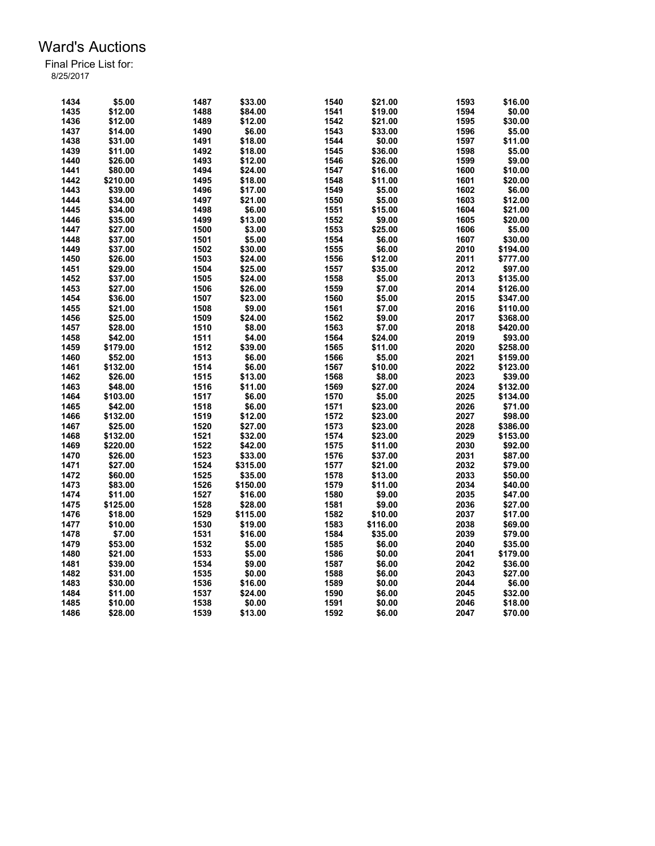| 1434 | \$5.00   | 1487 | \$33.00  | 1540 | \$21.00  | 1593 | \$16.00  |
|------|----------|------|----------|------|----------|------|----------|
| 1435 | \$12.00  | 1488 | \$84.00  | 1541 | \$19.00  | 1594 | \$0.00   |
| 1436 | \$12.00  | 1489 | \$12.00  | 1542 | \$21.00  | 1595 | \$30.00  |
| 1437 | \$14.00  | 1490 | \$6.00   | 1543 | \$33.00  | 1596 | \$5.00   |
| 1438 | \$31.00  | 1491 | \$18.00  | 1544 | \$0.00   | 1597 | \$11.00  |
| 1439 | \$11.00  | 1492 | \$18.00  | 1545 | \$36.00  | 1598 | \$5.00   |
|      |          |      |          |      |          |      |          |
| 1440 | \$26.00  | 1493 | \$12.00  | 1546 | \$26.00  | 1599 | \$9.00   |
| 1441 | \$80.00  | 1494 | \$24.00  | 1547 | \$16.00  | 1600 | \$10.00  |
| 1442 | \$210.00 | 1495 | \$18.00  | 1548 | \$11.00  | 1601 | \$20.00  |
| 1443 | \$39.00  | 1496 | \$17.00  | 1549 | \$5.00   | 1602 | \$6.00   |
| 1444 | \$34.00  | 1497 | \$21.00  | 1550 | \$5.00   | 1603 | \$12.00  |
| 1445 | \$34.00  | 1498 | \$6.00   | 1551 | \$15.00  | 1604 | \$21.00  |
| 1446 | \$35.00  | 1499 | \$13.00  | 1552 | \$9.00   | 1605 | \$20.00  |
| 1447 | \$27.00  | 1500 | \$3.00   | 1553 | \$25.00  | 1606 | \$5.00   |
| 1448 | \$37.00  | 1501 | \$5.00   | 1554 | \$6.00   | 1607 | \$30.00  |
| 1449 | \$37.00  | 1502 | \$30.00  | 1555 | \$6.00   | 2010 | \$194.00 |
| 1450 | \$26.00  | 1503 | \$24.00  | 1556 | \$12.00  | 2011 | \$777.00 |
| 1451 | \$29.00  | 1504 | \$25.00  | 1557 | \$35.00  | 2012 | \$97.00  |
| 1452 | \$37.00  | 1505 | \$24.00  | 1558 | \$5.00   | 2013 | \$135.00 |
| 1453 | \$27.00  | 1506 | \$26.00  | 1559 | \$7.00   | 2014 | \$126.00 |
| 1454 | \$36.00  | 1507 | \$23.00  | 1560 | \$5.00   | 2015 | \$347.00 |
| 1455 | \$21.00  | 1508 | \$9.00   | 1561 | \$7.00   | 2016 | \$110.00 |
| 1456 | \$25.00  | 1509 | \$24.00  | 1562 | \$9.00   | 2017 | \$368.00 |
| 1457 | \$28.00  | 1510 | \$8.00   | 1563 | \$7.00   | 2018 | \$420.00 |
| 1458 | \$42.00  | 1511 | \$4.00   | 1564 | \$24.00  | 2019 | \$93.00  |
| 1459 | \$179.00 | 1512 | \$39.00  | 1565 | \$11.00  | 2020 | \$258.00 |
| 1460 | \$52.00  | 1513 | \$6.00   | 1566 | \$5.00   | 2021 | \$159.00 |
| 1461 | \$132.00 | 1514 | \$6.00   | 1567 | \$10.00  | 2022 | \$123.00 |
|      |          |      |          |      |          |      |          |
| 1462 | \$26.00  | 1515 | \$13.00  | 1568 | \$8.00   | 2023 | \$39.00  |
| 1463 | \$48.00  | 1516 | \$11.00  | 1569 | \$27.00  | 2024 | \$132.00 |
| 1464 | \$103.00 | 1517 | \$6.00   | 1570 | \$5.00   | 2025 | \$134.00 |
| 1465 | \$42.00  | 1518 | \$6.00   | 1571 | \$23.00  | 2026 | \$71.00  |
| 1466 | \$132.00 | 1519 | \$12.00  | 1572 | \$23.00  | 2027 | \$98.00  |
| 1467 | \$25.00  | 1520 | \$27.00  | 1573 | \$23.00  | 2028 | \$386.00 |
| 1468 | \$132.00 | 1521 | \$32.00  | 1574 | \$23.00  | 2029 | \$153.00 |
| 1469 | \$220.00 | 1522 | \$42.00  | 1575 | \$11.00  | 2030 | \$92.00  |
| 1470 | \$26.00  | 1523 | \$33.00  | 1576 | \$37.00  | 2031 | \$87.00  |
| 1471 | \$27.00  | 1524 | \$315.00 | 1577 | \$21.00  | 2032 | \$79.00  |
| 1472 | \$60.00  | 1525 | \$35.00  | 1578 | \$13.00  | 2033 | \$50.00  |
| 1473 | \$83.00  | 1526 | \$150.00 | 1579 | \$11.00  | 2034 | \$40.00  |
| 1474 | \$11.00  | 1527 | \$16.00  | 1580 | \$9.00   | 2035 | \$47.00  |
| 1475 | \$125.00 | 1528 | \$28.00  | 1581 | \$9.00   | 2036 | \$27.00  |
| 1476 | \$18.00  | 1529 | \$115.00 | 1582 | \$10.00  | 2037 | \$17.00  |
| 1477 | \$10.00  | 1530 | \$19.00  | 1583 | \$116.00 | 2038 | \$69.00  |
| 1478 | \$7.00   | 1531 | \$16.00  | 1584 | \$35.00  | 2039 | \$79.00  |
| 1479 | \$53.00  | 1532 | \$5.00   | 1585 | \$6.00   | 2040 | \$35.00  |
| 1480 | \$21.00  | 1533 | \$5.00   | 1586 | \$0.00   | 2041 | \$179.00 |
| 1481 | \$39.00  | 1534 | \$9.00   | 1587 | \$6.00   | 2042 | \$36.00  |
| 1482 | \$31.00  | 1535 | \$0.00   | 1588 | \$6.00   | 2043 | \$27.00  |
| 1483 | \$30.00  | 1536 | \$16.00  | 1589 | \$0.00   | 2044 | \$6.00   |
| 1484 | \$11.00  | 1537 | \$24.00  | 1590 | \$6.00   | 2045 | \$32.00  |
|      |          |      |          |      |          |      |          |
| 1485 | \$10.00  | 1538 | \$0.00   | 1591 | \$0.00   | 2046 | \$18.00  |
| 1486 | \$28.00  | 1539 | \$13.00  | 1592 | \$6.00   | 2047 | \$70.00  |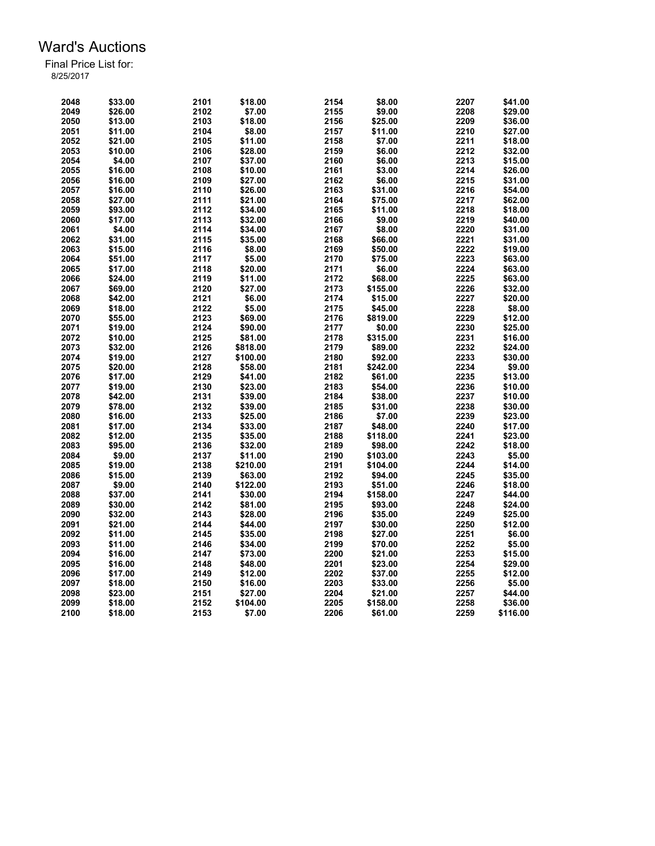| 2048 | \$33.00 | 2101 | \$18.00  | 2154 | \$8.00   | 2207 | \$41.00  |
|------|---------|------|----------|------|----------|------|----------|
| 2049 | \$26.00 | 2102 | \$7.00   | 2155 | \$9.00   | 2208 | \$29.00  |
| 2050 | \$13.00 | 2103 | \$18.00  | 2156 | \$25.00  | 2209 | \$36.00  |
| 2051 | \$11.00 | 2104 | \$8.00   | 2157 | \$11.00  | 2210 | \$27.00  |
| 2052 | \$21.00 | 2105 | \$11.00  | 2158 | \$7.00   | 2211 | \$18.00  |
| 2053 | \$10.00 | 2106 | \$28.00  | 2159 | \$6.00   | 2212 | \$32.00  |
| 2054 | \$4.00  | 2107 | \$37.00  | 2160 | \$6.00   | 2213 | \$15.00  |
| 2055 | \$16.00 | 2108 | \$10.00  | 2161 | \$3.00   | 2214 | \$26.00  |
| 2056 | \$16.00 | 2109 | \$27.00  | 2162 | \$6.00   | 2215 | \$31.00  |
| 2057 | \$16.00 | 2110 | \$26.00  | 2163 | \$31.00  | 2216 | \$54.00  |
| 2058 | \$27.00 | 2111 | \$21.00  | 2164 | \$75.00  | 2217 | \$62.00  |
|      |         | 2112 |          |      |          | 2218 |          |
| 2059 | \$93.00 |      | \$34.00  | 2165 | \$11.00  |      | \$18.00  |
| 2060 | \$17.00 | 2113 | \$32.00  | 2166 | \$9.00   | 2219 | \$40.00  |
| 2061 | \$4.00  | 2114 | \$34.00  | 2167 | \$8.00   | 2220 | \$31.00  |
| 2062 | \$31.00 | 2115 | \$35.00  | 2168 | \$66.00  | 2221 | \$31.00  |
| 2063 | \$15.00 | 2116 | \$8.00   | 2169 | \$50.00  | 2222 | \$19.00  |
| 2064 | \$51.00 | 2117 | \$5.00   | 2170 | \$75.00  | 2223 | \$63.00  |
| 2065 | \$17.00 | 2118 | \$20.00  | 2171 | \$6.00   | 2224 | \$63.00  |
| 2066 | \$24.00 | 2119 | \$11.00  | 2172 | \$68.00  | 2225 | \$63.00  |
| 2067 | \$69.00 | 2120 | \$27.00  | 2173 | \$155.00 | 2226 | \$32.00  |
| 2068 | \$42.00 | 2121 | \$6.00   | 2174 | \$15.00  | 2227 | \$20.00  |
| 2069 | \$18.00 | 2122 | \$5.00   | 2175 | \$45.00  | 2228 | \$8.00   |
| 2070 | \$55.00 | 2123 | \$69.00  | 2176 | \$819.00 | 2229 | \$12.00  |
| 2071 | \$19.00 | 2124 | \$90.00  | 2177 | \$0.00   | 2230 | \$25.00  |
| 2072 | \$10.00 | 2125 | \$81.00  | 2178 | \$315.00 | 2231 | \$16.00  |
| 2073 | \$32.00 | 2126 | \$818.00 | 2179 | \$89.00  | 2232 | \$24.00  |
| 2074 | \$19.00 | 2127 | \$100.00 | 2180 | \$92.00  | 2233 | \$30.00  |
| 2075 | \$20.00 | 2128 | \$58.00  | 2181 | \$242.00 | 2234 | \$9.00   |
| 2076 | \$17.00 | 2129 | \$41.00  | 2182 | \$61.00  | 2235 | \$13.00  |
| 2077 | \$19.00 | 2130 | \$23.00  | 2183 | \$54.00  | 2236 | \$10.00  |
| 2078 | \$42.00 | 2131 | \$39.00  | 2184 | \$38.00  | 2237 | \$10.00  |
| 2079 | \$78.00 | 2132 | \$39.00  | 2185 | \$31.00  | 2238 | \$30.00  |
| 2080 | \$16.00 | 2133 | \$25.00  | 2186 | \$7.00   | 2239 | \$23.00  |
|      |         | 2134 |          | 2187 |          |      | \$17.00  |
| 2081 | \$17.00 |      | \$33.00  |      | \$48.00  | 2240 |          |
| 2082 | \$12.00 | 2135 | \$35.00  | 2188 | \$118.00 | 2241 | \$23.00  |
| 2083 | \$95.00 | 2136 | \$32.00  | 2189 | \$98.00  | 2242 | \$18.00  |
| 2084 | \$9.00  | 2137 | \$11.00  | 2190 | \$103.00 | 2243 | \$5.00   |
| 2085 | \$19.00 | 2138 | \$210.00 | 2191 | \$104.00 | 2244 | \$14.00  |
| 2086 | \$15.00 | 2139 | \$63.00  | 2192 | \$94.00  | 2245 | \$35.00  |
| 2087 | \$9.00  | 2140 | \$122.00 | 2193 | \$51.00  | 2246 | \$18.00  |
| 2088 | \$37.00 | 2141 | \$30.00  | 2194 | \$158.00 | 2247 | \$44.00  |
| 2089 | \$30.00 | 2142 | \$81.00  | 2195 | \$93.00  | 2248 | \$24.00  |
| 2090 | \$32.00 | 2143 | \$28.00  | 2196 | \$35.00  | 2249 | \$25.00  |
| 2091 | \$21.00 | 2144 | \$44.00  | 2197 | \$30.00  | 2250 | \$12.00  |
| 2092 | \$11.00 | 2145 | \$35.00  | 2198 | \$27.00  | 2251 | \$6.00   |
| 2093 | \$11.00 | 2146 | \$34.00  | 2199 | \$70.00  | 2252 | \$5.00   |
| 2094 | \$16.00 | 2147 | \$73.00  | 2200 | \$21.00  | 2253 | \$15.00  |
| 2095 | \$16.00 | 2148 | \$48.00  | 2201 | \$23.00  | 2254 | \$29.00  |
| 2096 | \$17.00 | 2149 | \$12.00  | 2202 | \$37.00  | 2255 | \$12.00  |
| 2097 | \$18.00 | 2150 | \$16.00  | 2203 | \$33.00  | 2256 | \$5.00   |
| 2098 | \$23.00 | 2151 | \$27.00  | 2204 | \$21.00  | 2257 | \$44.00  |
| 2099 | \$18.00 | 2152 | \$104.00 | 2205 | \$158.00 | 2258 | \$36.00  |
| 2100 | \$18.00 | 2153 | \$7.00   | 2206 | \$61.00  | 2259 | \$116.00 |
|      |         |      |          |      |          |      |          |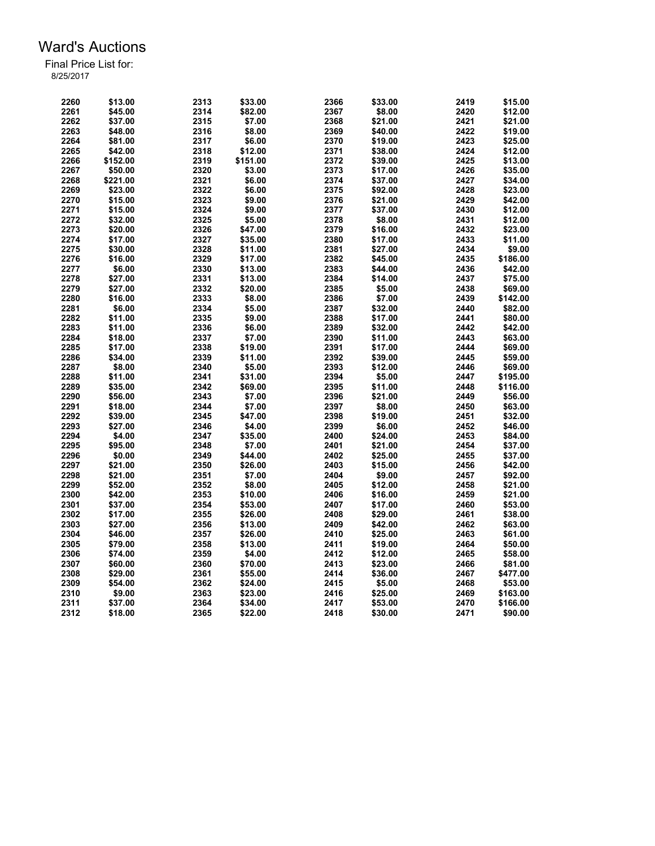| 2260 | \$13.00  | 2313 | \$33.00  | 2366 | \$33.00 | 2419 | \$15.00  |
|------|----------|------|----------|------|---------|------|----------|
| 2261 | \$45.00  | 2314 | \$82.00  | 2367 | \$8.00  | 2420 | \$12.00  |
| 2262 | \$37.00  | 2315 | \$7.00   | 2368 | \$21.00 | 2421 | \$21.00  |
| 2263 | \$48.00  | 2316 | \$8.00   | 2369 | \$40.00 | 2422 | \$19.00  |
| 2264 | \$81.00  | 2317 | \$6.00   | 2370 | \$19.00 | 2423 | \$25.00  |
| 2265 | \$42.00  | 2318 | \$12.00  | 2371 | \$38.00 | 2424 | \$12.00  |
| 2266 | \$152.00 | 2319 | \$151.00 | 2372 | \$39.00 | 2425 | \$13.00  |
| 2267 | \$50.00  | 2320 | \$3.00   | 2373 | \$17.00 | 2426 | \$35.00  |
| 2268 | \$221.00 | 2321 | \$6.00   | 2374 | \$37.00 | 2427 | \$34.00  |
| 2269 | \$23.00  | 2322 | \$6.00   | 2375 | \$92.00 | 2428 | \$23.00  |
| 2270 | \$15.00  | 2323 | \$9.00   | 2376 | \$21.00 | 2429 | \$42.00  |
| 2271 | \$15.00  | 2324 | \$9.00   | 2377 | \$37.00 | 2430 | \$12.00  |
| 2272 | \$32.00  | 2325 | \$5.00   | 2378 | \$8.00  | 2431 | \$12.00  |
|      |          |      |          |      |         |      |          |
| 2273 | \$20.00  | 2326 | \$47.00  | 2379 | \$16.00 | 2432 | \$23.00  |
| 2274 | \$17.00  | 2327 | \$35.00  | 2380 | \$17.00 | 2433 | \$11.00  |
| 2275 | \$30.00  | 2328 | \$11.00  | 2381 | \$27.00 | 2434 | \$9.00   |
| 2276 | \$16.00  | 2329 | \$17.00  | 2382 | \$45.00 | 2435 | \$186.00 |
| 2277 | \$6.00   | 2330 | \$13.00  | 2383 | \$44.00 | 2436 | \$42.00  |
| 2278 | \$27.00  | 2331 | \$13.00  | 2384 | \$14.00 | 2437 | \$75.00  |
| 2279 | \$27.00  | 2332 | \$20.00  | 2385 | \$5.00  | 2438 | \$69.00  |
| 2280 | \$16.00  | 2333 | \$8.00   | 2386 | \$7.00  | 2439 | \$142.00 |
| 2281 | \$6.00   | 2334 | \$5.00   | 2387 | \$32.00 | 2440 | \$82.00  |
| 2282 | \$11.00  | 2335 | \$9.00   | 2388 | \$17.00 | 2441 | \$80.00  |
| 2283 | \$11.00  | 2336 | \$6.00   | 2389 | \$32.00 | 2442 | \$42.00  |
| 2284 | \$18.00  | 2337 | \$7.00   | 2390 | \$11.00 | 2443 | \$63.00  |
| 2285 | \$17.00  | 2338 | \$19.00  | 2391 | \$17.00 | 2444 | \$69.00  |
| 2286 | \$34.00  | 2339 | \$11.00  | 2392 | \$39.00 | 2445 | \$59.00  |
| 2287 | \$8.00   | 2340 | \$5.00   | 2393 | \$12.00 | 2446 | \$69.00  |
| 2288 | \$11.00  | 2341 | \$31.00  | 2394 | \$5.00  | 2447 | \$195.00 |
| 2289 | \$35.00  | 2342 | \$69.00  | 2395 | \$11.00 | 2448 | \$116.00 |
| 2290 | \$56.00  | 2343 | \$7.00   | 2396 | \$21.00 | 2449 | \$56.00  |
| 2291 | \$18.00  | 2344 | \$7.00   | 2397 | \$8.00  | 2450 | \$63.00  |
| 2292 | \$39.00  | 2345 | \$47.00  | 2398 | \$19.00 | 2451 | \$32.00  |
| 2293 | \$27.00  | 2346 | \$4.00   | 2399 | \$6.00  | 2452 | \$46.00  |
| 2294 | \$4.00   | 2347 | \$35.00  | 2400 | \$24.00 | 2453 | \$84.00  |
| 2295 | \$95.00  | 2348 | \$7.00   | 2401 | \$21.00 | 2454 | \$37.00  |
| 2296 | \$0.00   | 2349 | \$44.00  | 2402 | \$25.00 | 2455 | \$37.00  |
| 2297 | \$21.00  | 2350 | \$26.00  | 2403 | \$15.00 | 2456 | \$42.00  |
| 2298 | \$21.00  | 2351 | \$7.00   | 2404 | \$9.00  | 2457 | \$92.00  |
| 2299 | \$52.00  | 2352 | \$8.00   | 2405 | \$12.00 | 2458 | \$21.00  |
| 2300 | \$42.00  | 2353 | \$10.00  | 2406 | \$16.00 | 2459 | \$21.00  |
| 2301 | \$37.00  | 2354 | \$53.00  | 2407 | \$17.00 | 2460 | \$53.00  |
| 2302 | \$17.00  | 2355 | \$26.00  | 2408 | \$29.00 | 2461 | \$38.00  |
| 2303 |          |      |          | 2409 |         | 2462 |          |
|      | \$27.00  | 2356 | \$13.00  |      | \$42.00 |      | \$63.00  |
| 2304 | \$46.00  | 2357 | \$26.00  | 2410 | \$25.00 | 2463 | \$61.00  |
| 2305 | \$79.00  | 2358 | \$13.00  | 2411 | \$19.00 | 2464 | \$50.00  |
| 2306 | \$74.00  | 2359 | \$4.00   | 2412 | \$12.00 | 2465 | \$58.00  |
| 2307 | \$60.00  | 2360 | \$70.00  | 2413 | \$23.00 | 2466 | \$81.00  |
| 2308 | \$29.00  | 2361 | \$55.00  | 2414 | \$36.00 | 2467 | \$477.00 |
| 2309 | \$54.00  | 2362 | \$24.00  | 2415 | \$5.00  | 2468 | \$53.00  |
| 2310 | \$9.00   | 2363 | \$23.00  | 2416 | \$25.00 | 2469 | \$163.00 |
| 2311 | \$37.00  | 2364 | \$34.00  | 2417 | \$53.00 | 2470 | \$166.00 |
| 2312 | \$18.00  | 2365 | \$22.00  | 2418 | \$30.00 | 2471 | \$90.00  |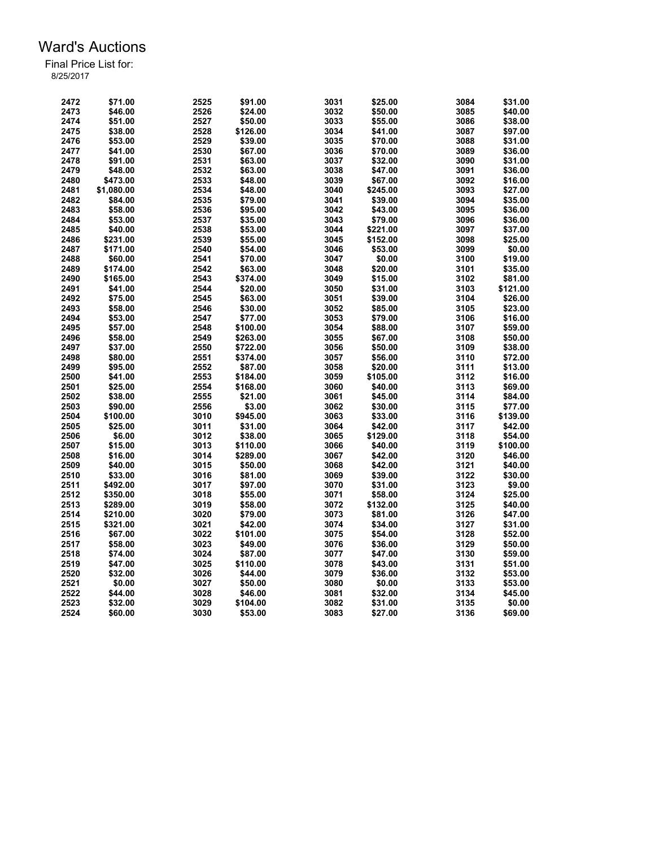| 2472         | \$71.00    | 2525 | \$91.00  | 3031         | \$25.00  | 3084 | \$31.00  |
|--------------|------------|------|----------|--------------|----------|------|----------|
| 2473         | \$46.00    | 2526 | \$24.00  | 3032         | \$50.00  | 3085 | \$40.00  |
| 2474         | \$51.00    | 2527 | \$50.00  | 3033         | \$55.00  | 3086 | \$38.00  |
| 2475         | \$38.00    | 2528 | \$126.00 | 3034         | \$41.00  | 3087 | \$97.00  |
| 2476         | \$53.00    | 2529 | \$39.00  | 3035         | \$70.00  | 3088 | \$31.00  |
| 2477         | \$41.00    | 2530 | \$67.00  | 3036         | \$70.00  | 3089 | \$36.00  |
| 2478         | \$91.00    | 2531 | \$63.00  | 3037         | \$32.00  | 3090 | \$31.00  |
| 2479         | \$48.00    | 2532 | \$63.00  | 3038         | \$47.00  | 3091 | \$36.00  |
| 2480         | \$473.00   | 2533 | \$48.00  | 3039         | \$67.00  | 3092 | \$16.00  |
| 2481         | \$1,080.00 | 2534 | \$48.00  | 3040         | \$245.00 | 3093 | \$27.00  |
| 2482         | \$84.00    | 2535 | \$79.00  | 3041         | \$39.00  | 3094 | \$35.00  |
| 2483         | \$58.00    | 2536 | \$95.00  | 3042         | \$43.00  | 3095 | \$36.00  |
| 2484         | \$53.00    | 2537 | \$35.00  | 3043         | \$79.00  | 3096 | \$36.00  |
| 2485         | \$40.00    | 2538 | \$53.00  | 3044         | \$221.00 | 3097 | \$37.00  |
| 2486         | \$231.00   | 2539 | \$55.00  | 3045         | \$152.00 | 3098 | \$25.00  |
| 2487         | \$171.00   | 2540 | \$54.00  | 3046         | \$53.00  | 3099 | \$0.00   |
| 2488         | \$60.00    | 2541 | \$70.00  | 3047         | \$0.00   | 3100 | \$19.00  |
| 2489         | \$174.00   | 2542 | \$63.00  | 3048         | \$20.00  | 3101 | \$35.00  |
|              | \$165.00   | 2543 |          |              |          | 3102 |          |
| 2490<br>2491 |            |      | \$374.00 | 3049<br>3050 | \$15.00  | 3103 | \$81.00  |
|              | \$41.00    | 2544 | \$20.00  |              | \$31.00  |      | \$121.00 |
| 2492         | \$75.00    | 2545 | \$63.00  | 3051         | \$39.00  | 3104 | \$26.00  |
| 2493         | \$58.00    | 2546 | \$30.00  | 3052         | \$85.00  | 3105 | \$23.00  |
| 2494         | \$53.00    | 2547 | \$77.00  | 3053         | \$79.00  | 3106 | \$16.00  |
| 2495         | \$57.00    | 2548 | \$100.00 | 3054         | \$88.00  | 3107 | \$59.00  |
| 2496         | \$58.00    | 2549 | \$263.00 | 3055         | \$67.00  | 3108 | \$50.00  |
| 2497         | \$37.00    | 2550 | \$722.00 | 3056         | \$50.00  | 3109 | \$38.00  |
| 2498         | \$80.00    | 2551 | \$374.00 | 3057         | \$56.00  | 3110 | \$72.00  |
| 2499         | \$95.00    | 2552 | \$87.00  | 3058         | \$20.00  | 3111 | \$13.00  |
| 2500         | \$41.00    | 2553 | \$184.00 | 3059         | \$105.00 | 3112 | \$16.00  |
| 2501         | \$25.00    | 2554 | \$168.00 | 3060         | \$40.00  | 3113 | \$69.00  |
| 2502         | \$38.00    | 2555 | \$21.00  | 3061         | \$45.00  | 3114 | \$84.00  |
| 2503         | \$90.00    | 2556 | \$3.00   | 3062         | \$30.00  | 3115 | \$77.00  |
| 2504         | \$100.00   | 3010 | \$945.00 | 3063         | \$33.00  | 3116 | \$139.00 |
| 2505         | \$25.00    | 3011 | \$31.00  | 3064         | \$42.00  | 3117 | \$42.00  |
| 2506         | \$6.00     | 3012 | \$38.00  | 3065         | \$129.00 | 3118 | \$54.00  |
| 2507         | \$15.00    | 3013 | \$110.00 | 3066         | \$40.00  | 3119 | \$100.00 |
| 2508         | \$16.00    | 3014 | \$289.00 | 3067         | \$42.00  | 3120 | \$46.00  |
| 2509         | \$40.00    | 3015 | \$50.00  | 3068         | \$42.00  | 3121 | \$40.00  |
| 2510         | \$33.00    | 3016 | \$81.00  | 3069         | \$39.00  | 3122 | \$30.00  |
| 2511         | \$492.00   | 3017 | \$97.00  | 3070         | \$31.00  | 3123 | \$9.00   |
| 2512         | \$350.00   | 3018 | \$55.00  | 3071         | \$58.00  | 3124 | \$25.00  |
| 2513         | \$289.00   | 3019 | \$58.00  | 3072         | \$132.00 | 3125 | \$40.00  |
| 2514         | \$210.00   | 3020 | \$79.00  | 3073         | \$81.00  | 3126 | \$47.00  |
| 2515         | \$321.00   | 3021 | \$42.00  | 3074         | \$34.00  | 3127 | \$31.00  |
| 2516         | \$67.00    | 3022 | \$101.00 | 3075         | \$54.00  | 3128 | \$52.00  |
| 2517         | \$58.00    | 3023 | \$49.00  | 3076         | \$36.00  | 3129 | \$50.00  |
| 2518         | \$74.00    | 3024 | \$87.00  | 3077         | \$47.00  | 3130 | \$59.00  |
| 2519         | \$47.00    | 3025 | \$110.00 | 3078         | \$43.00  | 3131 | \$51.00  |
| 2520         | \$32.00    | 3026 | \$44.00  | 3079         | \$36.00  | 3132 | \$53.00  |
| 2521         | \$0.00     | 3027 | \$50.00  | 3080         | \$0.00   | 3133 | \$53.00  |
| 2522         | \$44.00    | 3028 | \$46.00  | 3081         | \$32.00  | 3134 | \$45.00  |
| 2523         | \$32.00    | 3029 | \$104.00 | 3082         | \$31.00  | 3135 | \$0.00   |
| 2524         | \$60.00    | 3030 | \$53.00  | 3083         | \$27.00  | 3136 | \$69.00  |
|              |            |      |          |              |          |      |          |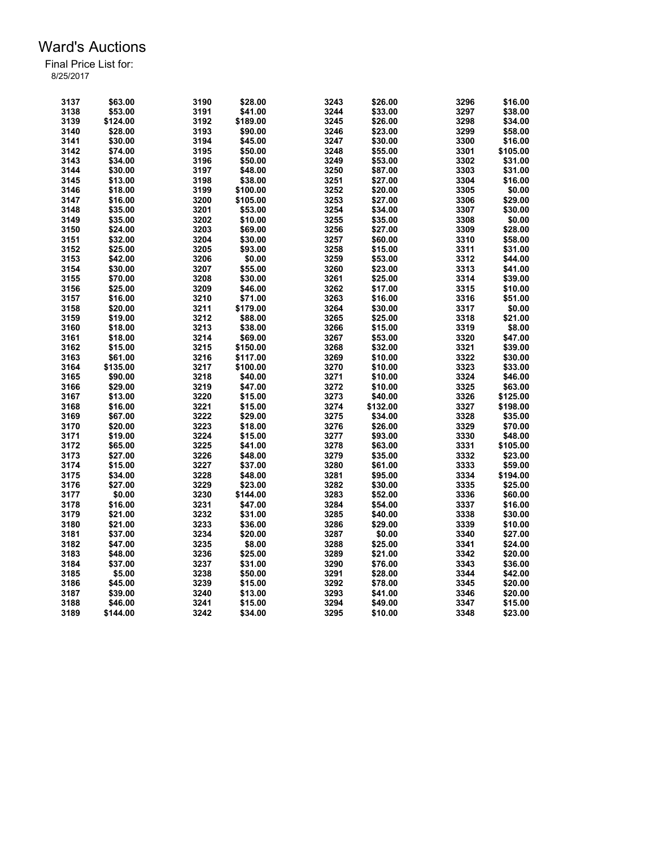| 3137 | \$63.00  | 3190         | \$28.00  | 3243 | \$26.00  | 3296 | \$16.00  |
|------|----------|--------------|----------|------|----------|------|----------|
| 3138 | \$53.00  | 3191         | \$41.00  | 3244 | \$33.00  | 3297 | \$38.00  |
| 3139 | \$124.00 | 3192         | \$189.00 | 3245 | \$26.00  | 3298 | \$34.00  |
| 3140 | \$28.00  | 3193         | \$90.00  | 3246 | \$23.00  | 3299 | \$58.00  |
| 3141 | \$30.00  | 3194         | \$45.00  | 3247 | \$30.00  | 3300 | \$16.00  |
| 3142 | \$74.00  | 3195         | \$50.00  | 3248 | \$55.00  | 3301 | \$105.00 |
| 3143 | \$34.00  | 3196         | \$50.00  | 3249 | \$53.00  | 3302 | \$31.00  |
| 3144 | \$30.00  | 3197         | \$48.00  | 3250 | \$87.00  | 3303 | \$31.00  |
| 3145 | \$13.00  | 3198         | \$38.00  | 3251 | \$27.00  | 3304 | \$16.00  |
| 3146 | \$18.00  | 3199         | \$100.00 | 3252 | \$20.00  | 3305 | \$0.00   |
| 3147 | \$16.00  | 3200         | \$105.00 | 3253 | \$27.00  | 3306 | \$29.00  |
| 3148 | \$35.00  | 3201         | \$53.00  | 3254 | \$34.00  | 3307 | \$30.00  |
| 3149 | \$35.00  | 3202         | \$10.00  | 3255 | \$35.00  | 3308 | \$0.00   |
| 3150 | \$24.00  | 3203         | \$69.00  | 3256 | \$27.00  | 3309 | \$28.00  |
| 3151 | \$32.00  | 3204         | \$30.00  | 3257 | \$60.00  | 3310 | \$58.00  |
| 3152 | \$25.00  | 3205         | \$93.00  | 3258 | \$15.00  | 3311 | \$31.00  |
| 3153 | \$42.00  | 3206         | \$0.00   | 3259 | \$53.00  | 3312 | \$44.00  |
| 3154 | \$30.00  | 3207         | \$55.00  | 3260 | \$23.00  | 3313 | \$41.00  |
|      |          |              |          |      |          | 3314 |          |
| 3155 | \$70.00  | 3208         | \$30.00  | 3261 | \$25.00  | 3315 | \$39.00  |
| 3156 | \$25.00  | 3209<br>3210 | \$46.00  | 3262 | \$17.00  |      | \$10.00  |
| 3157 | \$16.00  |              | \$71.00  | 3263 | \$16.00  | 3316 | \$51.00  |
| 3158 | \$20.00  | 3211         | \$179.00 | 3264 | \$30.00  | 3317 | \$0.00   |
| 3159 | \$19.00  | 3212         | \$88.00  | 3265 | \$25.00  | 3318 | \$21.00  |
| 3160 | \$18.00  | 3213         | \$38.00  | 3266 | \$15.00  | 3319 | \$8.00   |
| 3161 | \$18.00  | 3214         | \$69.00  | 3267 | \$53.00  | 3320 | \$47.00  |
| 3162 | \$15.00  | 3215         | \$150.00 | 3268 | \$32.00  | 3321 | \$39.00  |
| 3163 | \$61.00  | 3216         | \$117.00 | 3269 | \$10.00  | 3322 | \$30.00  |
| 3164 | \$135.00 | 3217         | \$100.00 | 3270 | \$10.00  | 3323 | \$33.00  |
| 3165 | \$90.00  | 3218         | \$40.00  | 3271 | \$10.00  | 3324 | \$46.00  |
| 3166 | \$29.00  | 3219         | \$47.00  | 3272 | \$10.00  | 3325 | \$63.00  |
| 3167 | \$13.00  | 3220         | \$15.00  | 3273 | \$40.00  | 3326 | \$125.00 |
| 3168 | \$16.00  | 3221         | \$15.00  | 3274 | \$132.00 | 3327 | \$198.00 |
| 3169 | \$67.00  | 3222         | \$29.00  | 3275 | \$34.00  | 3328 | \$35.00  |
| 3170 | \$20.00  | 3223         | \$18.00  | 3276 | \$26.00  | 3329 | \$70.00  |
| 3171 | \$19.00  | 3224         | \$15.00  | 3277 | \$93.00  | 3330 | \$48.00  |
| 3172 | \$65.00  | 3225         | \$41.00  | 3278 | \$63.00  | 3331 | \$105.00 |
| 3173 | \$27.00  | 3226         | \$48.00  | 3279 | \$35.00  | 3332 | \$23.00  |
| 3174 | \$15.00  | 3227         | \$37.00  | 3280 | \$61.00  | 3333 | \$59.00  |
| 3175 | \$34.00  | 3228         | \$48.00  | 3281 | \$95.00  | 3334 | \$194.00 |
| 3176 | \$27.00  | 3229         | \$23.00  | 3282 | \$30.00  | 3335 | \$25.00  |
| 3177 | \$0.00   | 3230         | \$144.00 | 3283 | \$52.00  | 3336 | \$60.00  |
| 3178 | \$16.00  | 3231         | \$47.00  | 3284 | \$54.00  | 3337 | \$16.00  |
| 3179 | \$21.00  | 3232         | \$31.00  | 3285 | \$40.00  | 3338 | \$30.00  |
| 3180 | \$21.00  | 3233         | \$36.00  | 3286 | \$29.00  | 3339 | \$10.00  |
| 3181 | \$37.00  | 3234         | \$20.00  | 3287 | \$0.00   | 3340 | \$27.00  |
| 3182 | \$47.00  | 3235         | \$8.00   | 3288 | \$25.00  | 3341 | \$24.00  |
| 3183 | \$48.00  | 3236         | \$25.00  | 3289 | \$21.00  | 3342 | \$20.00  |
| 3184 | \$37.00  | 3237         | \$31.00  | 3290 | \$76.00  | 3343 | \$36.00  |
| 3185 | \$5.00   | 3238         | \$50.00  | 3291 | \$28.00  | 3344 | \$42.00  |
| 3186 | \$45.00  | 3239         | \$15.00  | 3292 | \$78.00  | 3345 | \$20.00  |
| 3187 | \$39.00  | 3240         | \$13.00  | 3293 | \$41.00  | 3346 | \$20.00  |
| 3188 | \$46.00  | 3241         | \$15.00  | 3294 | \$49.00  | 3347 | \$15.00  |
| 3189 | \$144.00 | 3242         | \$34.00  | 3295 | \$10.00  | 3348 | \$23.00  |
|      |          |              |          |      |          |      |          |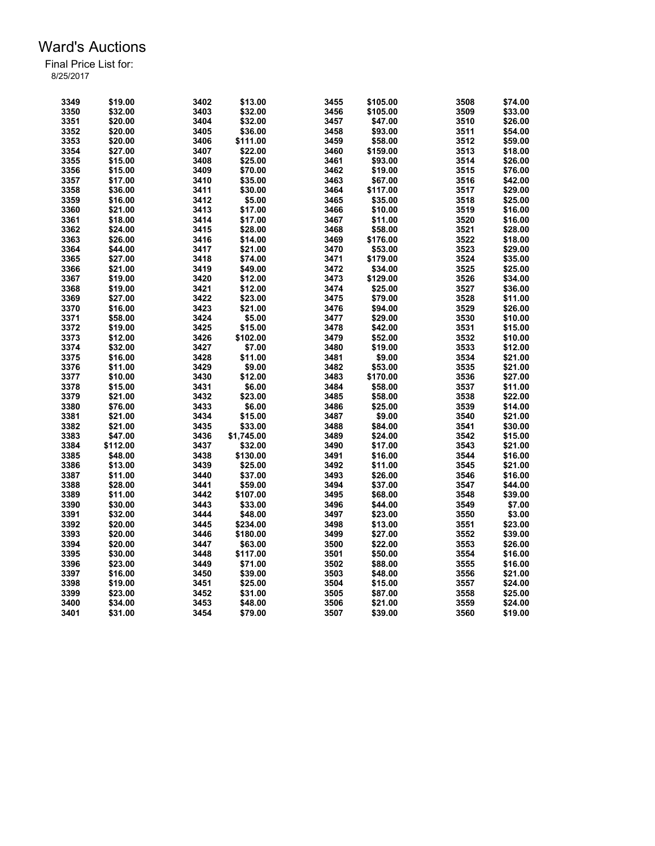| 3349 | \$19.00  | 3402 | \$13.00    | 3455 | \$105.00 | 3508 | \$74.00 |
|------|----------|------|------------|------|----------|------|---------|
| 3350 | \$32.00  | 3403 | \$32.00    | 3456 | \$105.00 | 3509 | \$33.00 |
| 3351 | \$20.00  | 3404 | \$32.00    | 3457 | \$47.00  | 3510 | \$26.00 |
| 3352 | \$20.00  | 3405 | \$36.00    | 3458 | \$93.00  | 3511 | \$54.00 |
| 3353 | \$20.00  | 3406 | \$111.00   | 3459 | \$58.00  | 3512 | \$59.00 |
| 3354 | \$27.00  | 3407 | \$22.00    | 3460 | \$159.00 | 3513 | \$18.00 |
| 3355 | \$15.00  | 3408 | \$25.00    | 3461 | \$93.00  | 3514 | \$26.00 |
| 3356 | \$15.00  | 3409 |            | 3462 |          | 3515 | \$76.00 |
| 3357 |          | 3410 | \$70.00    | 3463 | \$19.00  | 3516 |         |
|      | \$17.00  |      | \$35.00    |      | \$67.00  |      | \$42.00 |
| 3358 | \$36.00  | 3411 | \$30.00    | 3464 | \$117.00 | 3517 | \$29.00 |
| 3359 | \$16.00  | 3412 | \$5.00     | 3465 | \$35.00  | 3518 | \$25.00 |
| 3360 | \$21.00  | 3413 | \$17.00    | 3466 | \$10.00  | 3519 | \$16.00 |
| 3361 | \$18.00  | 3414 | \$17.00    | 3467 | \$11.00  | 3520 | \$16.00 |
| 3362 | \$24.00  | 3415 | \$28.00    | 3468 | \$58.00  | 3521 | \$28.00 |
| 3363 | \$26.00  | 3416 | \$14.00    | 3469 | \$176.00 | 3522 | \$18.00 |
| 3364 | \$44.00  | 3417 | \$21.00    | 3470 | \$53.00  | 3523 | \$29.00 |
| 3365 | \$27.00  | 3418 | \$74.00    | 3471 | \$179.00 | 3524 | \$35.00 |
| 3366 | \$21.00  | 3419 | \$49.00    | 3472 | \$34.00  | 3525 | \$25.00 |
| 3367 | \$19.00  | 3420 | \$12.00    | 3473 | \$129.00 | 3526 | \$34.00 |
| 3368 | \$19.00  | 3421 | \$12.00    | 3474 | \$25.00  | 3527 | \$36.00 |
| 3369 | \$27.00  | 3422 | \$23.00    | 3475 | \$79.00  | 3528 | \$11.00 |
| 3370 | \$16.00  | 3423 | \$21.00    | 3476 | \$94.00  | 3529 | \$26.00 |
| 3371 | \$58.00  | 3424 | \$5.00     | 3477 | \$29.00  | 3530 | \$10.00 |
| 3372 | \$19.00  | 3425 | \$15.00    | 3478 | \$42.00  | 3531 | \$15.00 |
| 3373 | \$12.00  | 3426 | \$102.00   | 3479 | \$52.00  | 3532 | \$10.00 |
| 3374 | \$32.00  | 3427 | \$7.00     | 3480 | \$19.00  | 3533 | \$12.00 |
| 3375 | \$16.00  | 3428 | \$11.00    | 3481 | \$9.00   | 3534 | \$21.00 |
| 3376 | \$11.00  | 3429 | \$9.00     | 3482 | \$53.00  | 3535 | \$21.00 |
| 3377 | \$10.00  | 3430 | \$12.00    | 3483 | \$170.00 | 3536 | \$27.00 |
| 3378 | \$15.00  |      | \$6.00     | 3484 |          | 3537 |         |
|      |          | 3431 |            |      | \$58.00  | 3538 | \$11.00 |
| 3379 | \$21.00  | 3432 | \$23.00    | 3485 | \$58.00  |      | \$22.00 |
| 3380 | \$76.00  | 3433 | \$6.00     | 3486 | \$25.00  | 3539 | \$14.00 |
| 3381 | \$21.00  | 3434 | \$15.00    | 3487 | \$9.00   | 3540 | \$21.00 |
| 3382 | \$21.00  | 3435 | \$33.00    | 3488 | \$84.00  | 3541 | \$30.00 |
| 3383 | \$47.00  | 3436 | \$1,745.00 | 3489 | \$24.00  | 3542 | \$15.00 |
| 3384 | \$112.00 | 3437 | \$32.00    | 3490 | \$17.00  | 3543 | \$21.00 |
| 3385 | \$48.00  | 3438 | \$130.00   | 3491 | \$16.00  | 3544 | \$16.00 |
| 3386 | \$13.00  | 3439 | \$25.00    | 3492 | \$11.00  | 3545 | \$21.00 |
| 3387 | \$11.00  | 3440 | \$37.00    | 3493 | \$26.00  | 3546 | \$16.00 |
| 3388 | \$28.00  | 3441 | \$59.00    | 3494 | \$37.00  | 3547 | \$44.00 |
| 3389 | \$11.00  | 3442 | \$107.00   | 3495 | \$68.00  | 3548 | \$39.00 |
| 3390 | \$30.00  | 3443 | \$33.00    | 3496 | \$44.00  | 3549 | \$7.00  |
| 3391 | \$32.00  | 3444 | \$48.00    | 3497 | \$23.00  | 3550 | \$3.00  |
| 3392 | \$20.00  | 3445 | \$234.00   | 3498 | \$13.00  | 3551 | \$23.00 |
| 3393 | \$20.00  | 3446 | \$180.00   | 3499 | \$27.00  | 3552 | \$39.00 |
| 3394 | \$20.00  | 3447 | \$63.00    | 3500 | \$22.00  | 3553 | \$26.00 |
| 3395 | \$30.00  | 3448 | \$117.00   | 3501 | \$50.00  | 3554 | \$16.00 |
| 3396 | \$23.00  | 3449 | \$71.00    | 3502 | \$88.00  | 3555 | \$16.00 |
| 3397 | \$16.00  | 3450 | \$39.00    | 3503 | \$48.00  | 3556 | \$21.00 |
| 3398 | \$19.00  | 3451 | \$25.00    | 3504 | \$15.00  | 3557 | \$24.00 |
| 3399 | \$23.00  | 3452 | \$31.00    | 3505 | \$87.00  | 3558 | \$25.00 |
| 3400 | \$34.00  | 3453 | \$48.00    | 3506 | \$21.00  | 3559 | \$24.00 |
| 3401 | \$31.00  | 3454 | \$79.00    | 3507 | \$39.00  | 3560 | \$19.00 |
|      |          |      |            |      |          |      |         |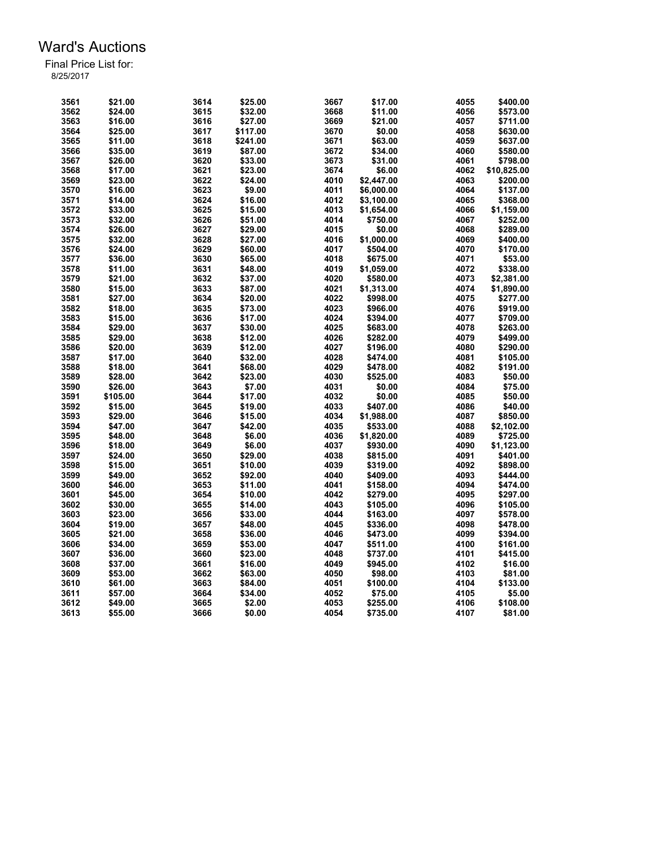| 3561 | \$21.00  | 3614 | \$25.00  | 3667 | \$17.00    | 4055 | \$400.00    |
|------|----------|------|----------|------|------------|------|-------------|
|      |          |      |          |      |            |      |             |
| 3562 | \$24.00  | 3615 | \$32.00  | 3668 | \$11.00    | 4056 | \$573.00    |
| 3563 | \$16.00  | 3616 | \$27.00  | 3669 | \$21.00    | 4057 | \$711.00    |
| 3564 | \$25.00  | 3617 | \$117.00 | 3670 | \$0.00     | 4058 | \$630.00    |
| 3565 | \$11.00  | 3618 | \$241.00 | 3671 | \$63.00    | 4059 | \$637.00    |
| 3566 | \$35.00  | 3619 | \$87.00  | 3672 | \$34.00    | 4060 | \$580.00    |
| 3567 | \$26.00  | 3620 | \$33.00  | 3673 | \$31.00    | 4061 | \$798.00    |
| 3568 | \$17.00  | 3621 | \$23.00  | 3674 | \$6.00     | 4062 | \$10,825.00 |
| 3569 | \$23.00  | 3622 | \$24.00  | 4010 | \$2,447.00 | 4063 | \$200.00    |
| 3570 | \$16.00  | 3623 | \$9.00   | 4011 | \$6,000.00 | 4064 | \$137.00    |
| 3571 | \$14.00  | 3624 | \$16.00  | 4012 | \$3,100.00 | 4065 | \$368.00    |
| 3572 | \$33.00  | 3625 | \$15.00  | 4013 | \$1,654.00 | 4066 | \$1,159.00  |
| 3573 | \$32.00  | 3626 | \$51.00  | 4014 | \$750.00   | 4067 | \$252.00    |
| 3574 | \$26.00  | 3627 | \$29.00  | 4015 | \$0.00     | 4068 | \$289.00    |
| 3575 | \$32.00  | 3628 | \$27.00  | 4016 | \$1,000.00 | 4069 | \$400.00    |
| 3576 | \$24.00  | 3629 |          | 4017 |            | 4070 | \$170.00    |
|      |          |      | \$60.00  |      | \$504.00   |      |             |
| 3577 | \$36.00  | 3630 | \$65.00  | 4018 | \$675.00   | 4071 | \$53.00     |
| 3578 | \$11.00  | 3631 | \$48.00  | 4019 | \$1,059.00 | 4072 | \$338.00    |
| 3579 | \$21.00  | 3632 | \$37.00  | 4020 | \$580.00   | 4073 | \$2,381.00  |
| 3580 | \$15.00  | 3633 | \$87.00  | 4021 | \$1,313.00 | 4074 | \$1,890.00  |
| 3581 | \$27.00  | 3634 | \$20.00  | 4022 | \$998.00   | 4075 | \$277.00    |
| 3582 | \$18.00  | 3635 | \$73.00  | 4023 | \$966.00   | 4076 | \$919.00    |
| 3583 | \$15.00  | 3636 | \$17.00  | 4024 | \$394.00   | 4077 | \$709.00    |
| 3584 | \$29.00  | 3637 | \$30.00  | 4025 | \$683.00   | 4078 | \$263.00    |
| 3585 | \$29.00  | 3638 | \$12.00  | 4026 | \$282.00   | 4079 | \$499.00    |
| 3586 | \$20.00  | 3639 | \$12.00  | 4027 | \$196.00   | 4080 | \$290.00    |
| 3587 | \$17.00  | 3640 | \$32.00  | 4028 | \$474.00   | 4081 | \$105.00    |
| 3588 | \$18.00  | 3641 | \$68.00  | 4029 | \$478.00   | 4082 | \$191.00    |
| 3589 | \$28.00  | 3642 | \$23.00  | 4030 | \$525.00   | 4083 | \$50.00     |
| 3590 | \$26.00  | 3643 | \$7.00   | 4031 | \$0.00     | 4084 | \$75.00     |
| 3591 | \$105.00 | 3644 | \$17.00  | 4032 | \$0.00     | 4085 | \$50.00     |
| 3592 | \$15.00  | 3645 | \$19.00  | 4033 | \$407.00   | 4086 | \$40.00     |
| 3593 | \$29.00  | 3646 | \$15.00  | 4034 | \$1,988.00 | 4087 | \$850.00    |
| 3594 | \$47.00  | 3647 | \$42.00  | 4035 | \$533.00   | 4088 | \$2,102.00  |
|      |          |      |          |      |            |      |             |
| 3595 | \$48.00  | 3648 | \$6.00   | 4036 | \$1,820.00 | 4089 | \$725.00    |
| 3596 | \$18.00  | 3649 | \$6.00   | 4037 | \$930.00   | 4090 | \$1,123.00  |
| 3597 | \$24.00  | 3650 | \$29.00  | 4038 | \$815.00   | 4091 | \$401.00    |
| 3598 | \$15.00  | 3651 | \$10.00  | 4039 | \$319.00   | 4092 | \$898.00    |
| 3599 | \$49.00  | 3652 | \$92.00  | 4040 | \$409.00   | 4093 | \$444.00    |
| 3600 | \$46.00  | 3653 | \$11.00  | 4041 | \$158.00   | 4094 | \$474.00    |
| 3601 | \$45.00  | 3654 | \$10.00  | 4042 | \$279.00   | 4095 | \$297.00    |
| 3602 | \$30.00  | 3655 | \$14.00  | 4043 | \$105.00   | 4096 | \$105.00    |
| 3603 | \$23.00  | 3656 | \$33.00  | 4044 | \$163.00   | 4097 | \$578.00    |
| 3604 | \$19.00  | 3657 | \$48.00  | 4045 | \$336.00   | 4098 | \$478.00    |
| 3605 | \$21.00  | 3658 | \$36.00  | 4046 | \$473.00   | 4099 | \$394.00    |
| 3606 | \$34.00  | 3659 | \$53.00  | 4047 | \$511.00   | 4100 | \$161.00    |
| 3607 | \$36.00  | 3660 | \$23.00  | 4048 | \$737.00   | 4101 | \$415.00    |
| 3608 | \$37.00  | 3661 | \$16.00  | 4049 | \$945.00   | 4102 | \$16.00     |
| 3609 | \$53.00  | 3662 | \$63.00  | 4050 | \$98.00    | 4103 | \$81.00     |
| 3610 | \$61.00  | 3663 | \$84.00  | 4051 | \$100.00   | 4104 | \$133.00    |
| 3611 | \$57.00  | 3664 | \$34.00  | 4052 | \$75.00    | 4105 | \$5.00      |
| 3612 | \$49.00  | 3665 | \$2.00   | 4053 | \$255.00   | 4106 | \$108.00    |
| 3613 |          | 3666 |          |      |            |      |             |
|      | \$55.00  |      | \$0.00   | 4054 | \$735.00   | 4107 | \$81.00     |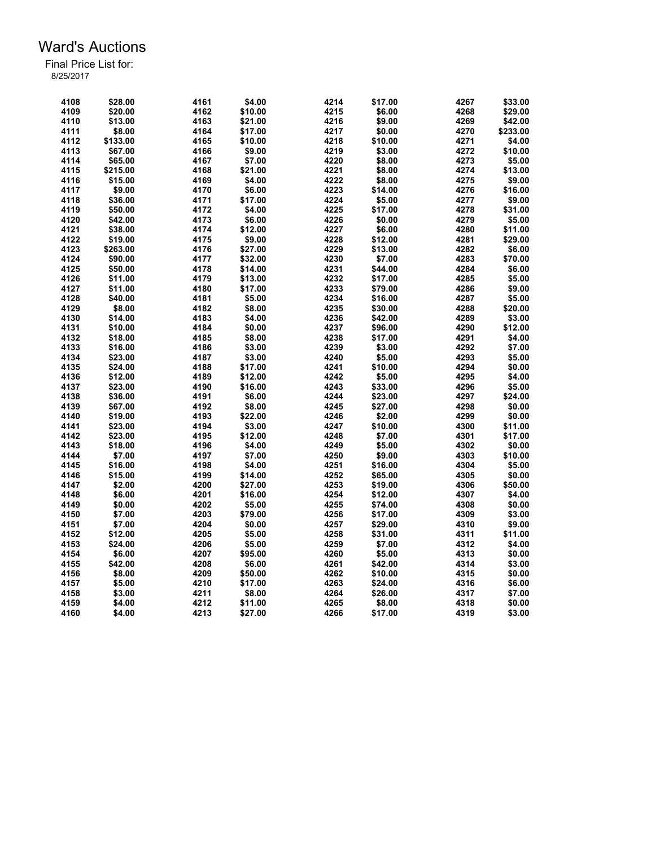| 4108 | \$28.00  | 4161 | \$4.00  | 4214 | \$17.00 | 4267 | \$33.00  |
|------|----------|------|---------|------|---------|------|----------|
| 4109 | \$20.00  | 4162 | \$10.00 | 4215 | \$6.00  | 4268 | \$29.00  |
| 4110 | \$13.00  | 4163 | \$21.00 | 4216 | \$9.00  | 4269 | \$42.00  |
| 4111 | \$8.00   | 4164 | \$17.00 | 4217 | \$0.00  | 4270 | \$233.00 |
| 4112 | \$133.00 | 4165 | \$10.00 | 4218 | \$10.00 | 4271 | \$4.00   |
| 4113 | \$67.00  | 4166 | \$9.00  | 4219 | \$3.00  | 4272 | \$10.00  |
| 4114 | \$65.00  | 4167 | \$7.00  | 4220 | \$8.00  | 4273 | \$5.00   |
| 4115 | \$215.00 | 4168 | \$21.00 | 4221 | \$8.00  | 4274 | \$13.00  |
| 4116 | \$15.00  | 4169 | \$4.00  | 4222 | \$8.00  | 4275 | \$9.00   |
| 4117 | \$9.00   | 4170 | \$6.00  | 4223 | \$14.00 | 4276 | \$16.00  |
| 4118 | \$36.00  | 4171 | \$17.00 | 4224 | \$5.00  | 4277 | \$9.00   |
| 4119 | \$50.00  | 4172 | \$4.00  | 4225 | \$17.00 | 4278 | \$31.00  |
| 4120 | \$42.00  | 4173 | \$6.00  | 4226 | \$0.00  | 4279 | \$5.00   |
| 4121 | \$38.00  | 4174 | \$12.00 | 4227 | \$6.00  | 4280 | \$11.00  |
| 4122 | \$19.00  | 4175 | \$9.00  | 4228 | \$12.00 | 4281 | \$29.00  |
| 4123 | \$263.00 | 4176 | \$27.00 | 4229 | \$13.00 | 4282 | \$6.00   |
| 4124 | \$90.00  | 4177 | \$32.00 | 4230 | \$7.00  | 4283 | \$70.00  |
| 4125 | \$50.00  | 4178 | \$14.00 | 4231 | \$44.00 | 4284 | \$6.00   |
| 4126 | \$11.00  | 4179 | \$13.00 | 4232 | \$17.00 | 4285 | \$5.00   |
| 4127 | \$11.00  | 4180 | \$17.00 | 4233 | \$79.00 | 4286 | \$9.00   |
| 4128 | \$40.00  | 4181 | \$5.00  | 4234 | \$16.00 | 4287 | \$5.00   |
| 4129 | \$8.00   | 4182 | \$8.00  | 4235 | \$30.00 | 4288 | \$20.00  |
| 4130 |          |      | \$4.00  | 4236 |         | 4289 | \$3.00   |
|      | \$14.00  | 4183 |         |      | \$42.00 | 4290 |          |
| 4131 | \$10.00  | 4184 | \$0.00  | 4237 | \$96.00 |      | \$12.00  |
| 4132 | \$18.00  | 4185 | \$8.00  | 4238 | \$17.00 | 4291 | \$4.00   |
| 4133 | \$16.00  | 4186 | \$3.00  | 4239 | \$3.00  | 4292 | \$7.00   |
| 4134 | \$23.00  | 4187 | \$3.00  | 4240 | \$5.00  | 4293 | \$5.00   |
| 4135 | \$24.00  | 4188 | \$17.00 | 4241 | \$10.00 | 4294 | \$0.00   |
| 4136 | \$12.00  | 4189 | \$12.00 | 4242 | \$5.00  | 4295 | \$4.00   |
| 4137 | \$23.00  | 4190 | \$16.00 | 4243 | \$33.00 | 4296 | \$5.00   |
| 4138 | \$36.00  | 4191 | \$6.00  | 4244 | \$23.00 | 4297 | \$24.00  |
| 4139 | \$67.00  | 4192 | \$8.00  | 4245 | \$27.00 | 4298 | \$0.00   |
| 4140 | \$19.00  | 4193 | \$22.00 | 4246 | \$2.00  | 4299 | \$0.00   |
| 4141 | \$23.00  | 4194 | \$3.00  | 4247 | \$10.00 | 4300 | \$11.00  |
| 4142 | \$23.00  | 4195 | \$12.00 | 4248 | \$7.00  | 4301 | \$17.00  |
| 4143 | \$18.00  | 4196 | \$4.00  | 4249 | \$5.00  | 4302 | \$0.00   |
| 4144 | \$7.00   | 4197 | \$7.00  | 4250 | \$9.00  | 4303 | \$10.00  |
| 4145 | \$16.00  | 4198 | \$4.00  | 4251 | \$16.00 | 4304 | \$5.00   |
| 4146 | \$15.00  | 4199 | \$14.00 | 4252 | \$65.00 | 4305 | \$0.00   |
| 4147 | \$2.00   | 4200 | \$27.00 | 4253 | \$19.00 | 4306 | \$50.00  |
| 4148 | \$6.00   | 4201 | \$16.00 | 4254 | \$12.00 | 4307 | \$4.00   |
| 4149 | \$0.00   | 4202 | \$5.00  | 4255 | \$74.00 | 4308 | \$0.00   |
| 4150 | \$7.00   | 4203 | \$79.00 | 4256 | \$17.00 | 4309 | \$3.00   |
| 4151 | \$7.00   | 4204 | \$0.00  | 4257 | \$29.00 | 4310 | \$9.00   |
| 4152 | \$12.00  | 4205 | \$5.00  | 4258 | \$31.00 | 4311 | \$11.00  |
| 4153 | \$24.00  | 4206 | \$5.00  | 4259 | \$7.00  | 4312 | \$4.00   |
| 4154 | \$6.00   | 4207 | \$95.00 | 4260 | \$5.00  | 4313 | \$0.00   |
| 4155 | \$42.00  | 4208 | \$6.00  | 4261 | \$42.00 | 4314 | \$3.00   |
| 4156 | \$8.00   | 4209 | \$50.00 | 4262 | \$10.00 | 4315 | \$0.00   |
| 4157 | \$5.00   | 4210 | \$17.00 | 4263 | \$24.00 | 4316 | \$6.00   |
| 4158 | \$3.00   | 4211 | \$8.00  | 4264 | \$26.00 | 4317 | \$7.00   |
| 4159 | \$4.00   | 4212 | \$11.00 | 4265 | \$8.00  | 4318 | \$0.00   |
| 4160 | \$4.00   | 4213 | \$27.00 | 4266 | \$17.00 | 4319 | \$3.00   |
|      |          |      |         |      |         |      |          |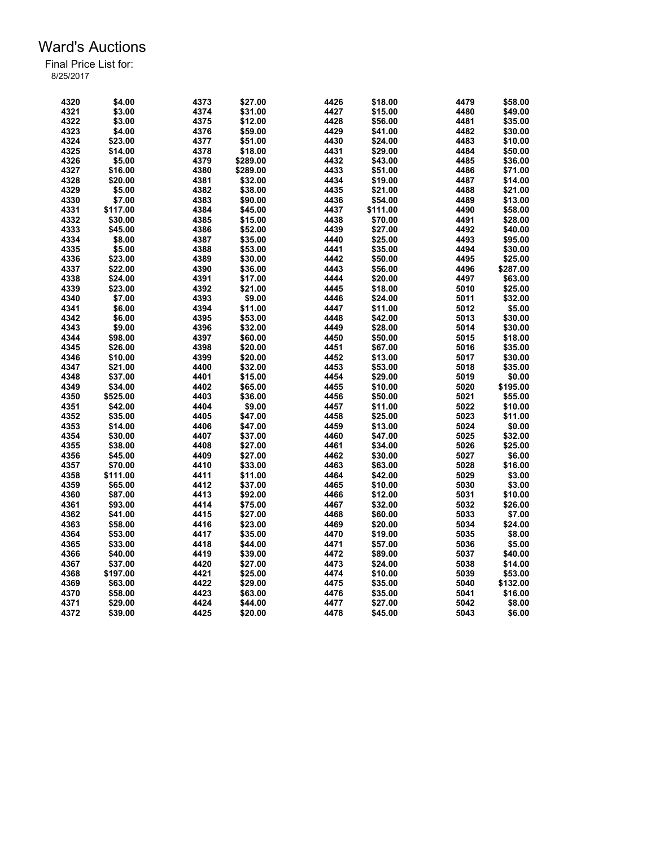| 4320 | \$4.00   | 4373 | \$27.00            | 4426 | \$18.00  | 4479 | \$58.00  |
|------|----------|------|--------------------|------|----------|------|----------|
| 4321 | \$3.00   | 4374 | \$31.00            | 4427 | \$15.00  | 4480 | \$49.00  |
| 4322 | \$3.00   | 4375 | \$12.00            | 4428 | \$56.00  | 4481 | \$35.00  |
| 4323 | \$4.00   | 4376 | \$59.00            | 4429 | \$41.00  | 4482 | \$30.00  |
| 4324 | \$23.00  | 4377 | \$51.00            | 4430 | \$24.00  | 4483 | \$10.00  |
| 4325 | \$14.00  | 4378 | \$18.00            | 4431 | \$29.00  | 4484 | \$50.00  |
| 4326 | \$5.00   | 4379 | \$289.00           | 4432 | \$43.00  | 4485 | \$36.00  |
| 4327 | \$16.00  | 4380 | \$289.00           | 4433 | \$51.00  | 4486 | \$71.00  |
| 4328 | \$20.00  | 4381 | \$32.00            | 4434 | \$19.00  | 4487 | \$14.00  |
| 4329 | \$5.00   | 4382 | \$38.00            | 4435 | \$21.00  | 4488 | \$21.00  |
| 4330 | \$7.00   | 4383 | \$90.00            | 4436 | \$54.00  | 4489 | \$13.00  |
| 4331 | \$117.00 | 4384 | \$45.00            | 4437 | \$111.00 | 4490 | \$58.00  |
| 4332 | \$30.00  | 4385 | \$15.00            | 4438 | \$70.00  | 4491 | \$28.00  |
| 4333 | \$45.00  | 4386 | \$52.00            | 4439 | \$27.00  | 4492 | \$40.00  |
| 4334 | \$8.00   | 4387 | \$35.00            | 4440 | \$25.00  | 4493 | \$95.00  |
| 4335 | \$5.00   | 4388 | \$53.00            | 4441 | \$35.00  | 4494 | \$30.00  |
| 4336 | \$23.00  | 4389 | \$30.00            | 4442 | \$50.00  | 4495 | \$25.00  |
| 4337 | \$22.00  | 4390 | \$36.00            | 4443 | \$56.00  | 4496 | \$287.00 |
|      |          |      |                    |      |          |      |          |
| 4338 | \$24.00  | 4391 | \$17.00            | 4444 | \$20.00  | 4497 | \$63.00  |
| 4339 | \$23.00  | 4392 | \$21.00            | 4445 | \$18.00  | 5010 | \$25.00  |
| 4340 | \$7.00   | 4393 | \$9.00             | 4446 | \$24.00  | 5011 | \$32.00  |
| 4341 | \$6.00   | 4394 | \$11.00            | 4447 | \$11.00  | 5012 | \$5.00   |
| 4342 | \$6.00   | 4395 | \$53.00            | 4448 | \$42.00  | 5013 | \$30.00  |
| 4343 | \$9.00   | 4396 | \$32.00            | 4449 | \$28.00  | 5014 | \$30.00  |
| 4344 | \$98.00  | 4397 | \$60.00            | 4450 | \$50.00  | 5015 | \$18.00  |
| 4345 | \$26.00  | 4398 | \$20.00            | 4451 | \$67.00  | 5016 | \$35.00  |
| 4346 | \$10.00  | 4399 | \$20.00            | 4452 | \$13.00  | 5017 | \$30.00  |
| 4347 | \$21.00  | 4400 | \$32.00            | 4453 | \$53.00  | 5018 | \$35.00  |
| 4348 | \$37.00  | 4401 | \$15.00            | 4454 | \$29.00  | 5019 | \$0.00   |
| 4349 | \$34.00  | 4402 | \$65.00            | 4455 | \$10.00  | 5020 | \$195.00 |
| 4350 | \$525.00 | 4403 | \$36.00            | 4456 | \$50.00  | 5021 | \$55.00  |
| 4351 | \$42.00  | 4404 | \$9.00             | 4457 | \$11.00  | 5022 | \$10.00  |
| 4352 | \$35.00  | 4405 | \$47.00            | 4458 | \$25.00  | 5023 | \$11.00  |
| 4353 | \$14.00  | 4406 | \$47.00            | 4459 | \$13.00  | 5024 | \$0.00   |
| 4354 | \$30.00  | 4407 | \$37.00            | 4460 | \$47.00  | 5025 | \$32.00  |
| 4355 | \$38.00  | 4408 | \$27.00            | 4461 | \$34.00  | 5026 | \$25.00  |
| 4356 | \$45.00  | 4409 | \$27.00            | 4462 | \$30.00  | 5027 | \$6.00   |
| 4357 | \$70.00  | 4410 | \$33.00            | 4463 | \$63.00  | 5028 | \$16.00  |
| 4358 | \$111.00 | 4411 | \$11.00            | 4464 | \$42.00  | 5029 | \$3.00   |
| 4359 | \$65.00  | 4412 | \$37.00            | 4465 | \$10.00  | 5030 | \$3.00   |
| 4360 | \$87.00  | 4413 | \$92.00            | 4466 | \$12.00  | 5031 | \$10.00  |
| 4361 | \$93.00  | 4414 | \$75.00            | 4467 | \$32.00  | 5032 | \$26.00  |
| 4362 | \$41.00  | 4415 | \$27.00            | 4468 | \$60.00  | 5033 | \$7.00   |
| 4363 | \$58.00  | 4416 | \$23.00            | 4469 | \$20.00  | 5034 | \$24.00  |
| 4364 | \$53.00  | 4417 | \$35.00            | 4470 | \$19.00  | 5035 | \$8.00   |
| 4365 | \$33.00  | 4418 | \$44.00            | 4471 | \$57.00  | 5036 | \$5.00   |
| 4366 | \$40.00  | 4419 | \$39.00            | 4472 | \$89.00  | 5037 | \$40.00  |
| 4367 | \$37.00  | 4420 | \$27.00            | 4473 | \$24.00  | 5038 | \$14.00  |
| 4368 | \$197.00 | 4421 |                    | 4474 |          | 5039 | \$53.00  |
| 4369 | \$63.00  |      | \$25.00<br>\$29.00 |      | \$10.00  | 5040 |          |
|      |          | 4422 |                    | 4475 | \$35.00  |      | \$132.00 |
| 4370 | \$58.00  | 4423 | \$63.00            | 4476 | \$35.00  | 5041 | \$16.00  |
| 4371 | \$29.00  | 4424 | \$44.00            | 4477 | \$27.00  | 5042 | \$8.00   |
| 4372 | \$39.00  | 4425 | \$20.00            | 4478 | \$45.00  | 5043 | \$6.00   |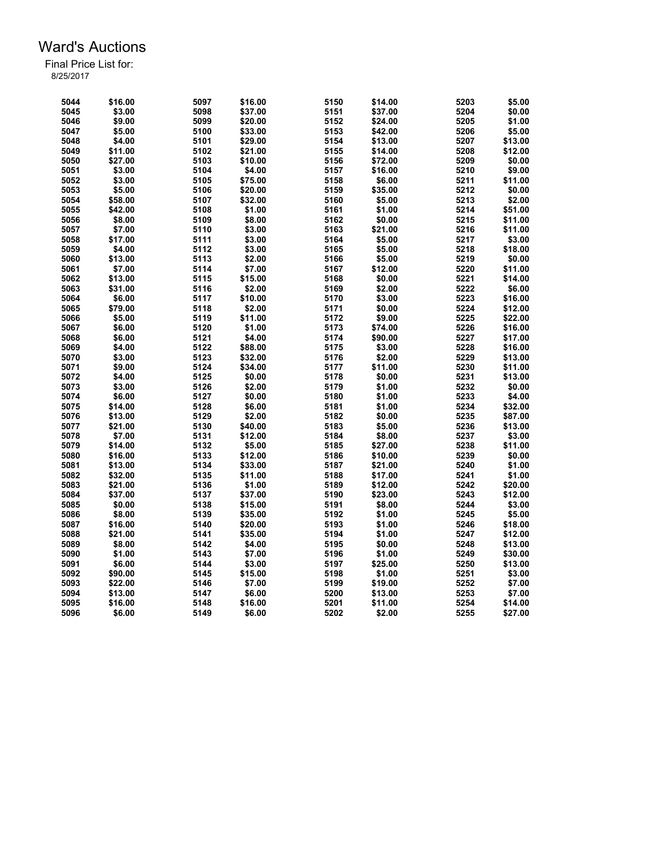| 5044 | \$16.00 | 5097 | \$16.00 | 5150 | \$14.00 | 5203 | \$5.00  |
|------|---------|------|---------|------|---------|------|---------|
| 5045 | \$3.00  | 5098 | \$37.00 | 5151 | \$37.00 | 5204 | \$0.00  |
| 5046 | \$9.00  | 5099 | \$20.00 | 5152 | \$24.00 | 5205 | \$1.00  |
| 5047 | \$5.00  | 5100 | \$33.00 | 5153 | \$42.00 | 5206 | \$5.00  |
| 5048 | \$4.00  | 5101 | \$29.00 | 5154 | \$13.00 | 5207 | \$13.00 |
| 5049 | \$11.00 | 5102 | \$21.00 | 5155 | \$14.00 | 5208 | \$12.00 |
| 5050 | \$27.00 | 5103 | \$10.00 | 5156 | \$72.00 | 5209 | \$0.00  |
| 5051 | \$3.00  | 5104 | \$4.00  | 5157 | \$16.00 | 5210 | \$9.00  |
| 5052 | \$3.00  | 5105 | \$75.00 | 5158 | \$6.00  | 5211 | \$11.00 |
| 5053 | \$5.00  | 5106 | \$20.00 | 5159 | \$35.00 | 5212 | \$0.00  |
| 5054 | \$58.00 | 5107 | \$32.00 | 5160 | \$5.00  | 5213 | \$2.00  |
| 5055 | \$42.00 | 5108 | \$1.00  | 5161 | \$1.00  | 5214 | \$51.00 |
| 5056 | \$8.00  | 5109 | \$8.00  | 5162 | \$0.00  | 5215 | \$11.00 |
| 5057 | \$7.00  | 5110 | \$3.00  | 5163 | \$21.00 | 5216 | \$11.00 |
| 5058 | \$17.00 | 5111 | \$3.00  | 5164 | \$5.00  | 5217 | \$3.00  |
| 5059 | \$4.00  | 5112 | \$3.00  | 5165 | \$5.00  | 5218 | \$18.00 |
| 5060 | \$13.00 | 5113 | \$2.00  | 5166 | \$5.00  | 5219 | \$0.00  |
| 5061 | \$7.00  | 5114 | \$7.00  | 5167 | \$12.00 | 5220 | \$11.00 |
| 5062 | \$13.00 | 5115 | \$15.00 | 5168 | \$0.00  | 5221 | \$14.00 |
| 5063 | \$31.00 | 5116 | \$2.00  | 5169 | \$2.00  | 5222 | \$6.00  |
| 5064 | \$6.00  | 5117 | \$10.00 | 5170 | \$3.00  | 5223 | \$16.00 |
| 5065 | \$79.00 | 5118 | \$2.00  | 5171 | \$0.00  | 5224 | \$12.00 |
| 5066 | \$5.00  | 5119 | \$11.00 | 5172 | \$9.00  | 5225 | \$22.00 |
| 5067 | \$6.00  | 5120 | \$1.00  | 5173 | \$74.00 | 5226 | \$16.00 |
| 5068 | \$6.00  | 5121 | \$4.00  | 5174 | \$90.00 | 5227 | \$17.00 |
| 5069 | \$4.00  | 5122 | \$88.00 | 5175 | \$3.00  | 5228 | \$16.00 |
| 5070 | \$3.00  | 5123 | \$32.00 | 5176 | \$2.00  | 5229 | \$13.00 |
| 5071 | \$9.00  | 5124 | \$34.00 | 5177 | \$11.00 | 5230 | \$11.00 |
| 5072 | \$4.00  | 5125 | \$0.00  | 5178 | \$0.00  | 5231 | \$13.00 |
| 5073 | \$3.00  | 5126 | \$2.00  | 5179 | \$1.00  | 5232 | \$0.00  |
| 5074 | \$6.00  | 5127 | \$0.00  | 5180 | \$1.00  | 5233 | \$4.00  |
| 5075 | \$14.00 | 5128 | \$6.00  | 5181 | \$1.00  | 5234 | \$32.00 |
| 5076 | \$13.00 | 5129 | \$2.00  | 5182 | \$0.00  | 5235 | \$87.00 |
| 5077 | \$21.00 | 5130 | \$40.00 | 5183 | \$5.00  | 5236 | \$13.00 |
| 5078 | \$7.00  | 5131 | \$12.00 | 5184 | \$8.00  | 5237 | \$3.00  |
| 5079 | \$14.00 | 5132 | \$5.00  | 5185 | \$27.00 | 5238 | \$11.00 |
| 5080 | \$16.00 | 5133 | \$12.00 | 5186 | \$10.00 | 5239 | \$0.00  |
| 5081 | \$13.00 | 5134 | \$33.00 | 5187 | \$21.00 | 5240 | \$1.00  |
| 5082 | \$32.00 | 5135 | \$11.00 | 5188 | \$17.00 | 5241 | \$1.00  |
| 5083 | \$21.00 | 5136 | \$1.00  | 5189 | \$12.00 | 5242 | \$20.00 |
| 5084 | \$37.00 | 5137 | \$37.00 | 5190 | \$23.00 | 5243 | \$12.00 |
| 5085 | \$0.00  | 5138 | \$15.00 | 5191 | \$8.00  | 5244 | \$3.00  |
| 5086 | \$8.00  | 5139 | \$35.00 | 5192 | \$1.00  | 5245 | \$5.00  |
| 5087 | \$16.00 | 5140 | \$20.00 | 5193 | \$1.00  | 5246 | \$18.00 |
| 5088 | \$21.00 | 5141 | \$35.00 | 5194 | \$1.00  | 5247 | \$12.00 |
| 5089 | \$8.00  | 5142 | \$4.00  | 5195 | \$0.00  | 5248 | \$13.00 |
| 5090 | \$1.00  | 5143 | \$7.00  | 5196 | \$1.00  | 5249 | \$30.00 |
| 5091 | \$6.00  | 5144 | \$3.00  | 5197 | \$25.00 | 5250 | \$13.00 |
| 5092 | \$90.00 | 5145 | \$15.00 | 5198 | \$1.00  | 5251 | \$3.00  |
| 5093 | \$22.00 | 5146 | \$7.00  | 5199 | \$19.00 | 5252 | \$7.00  |
| 5094 | \$13.00 | 5147 | \$6.00  | 5200 | \$13.00 | 5253 | \$7.00  |
| 5095 | \$16.00 | 5148 | \$16.00 | 5201 | \$11.00 | 5254 | \$14.00 |
| 5096 | \$6.00  | 5149 | \$6.00  | 5202 | \$2.00  | 5255 | \$27.00 |
|      |         |      |         |      |         |      |         |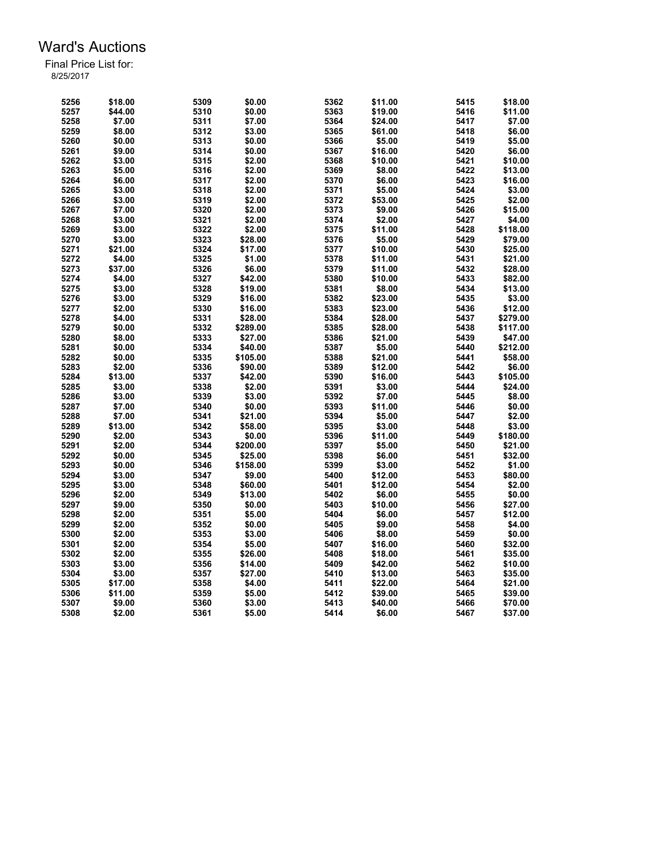| 5256 | \$18.00 | 5309 | \$0.00   | 5362 | \$11.00 | 5415 | \$18.00  |
|------|---------|------|----------|------|---------|------|----------|
| 5257 | \$44.00 | 5310 | \$0.00   | 5363 | \$19.00 | 5416 | \$11.00  |
| 5258 | \$7.00  | 5311 | \$7.00   | 5364 | \$24.00 | 5417 | \$7.00   |
| 5259 | \$8.00  | 5312 | \$3.00   | 5365 | \$61.00 | 5418 | \$6.00   |
| 5260 | \$0.00  | 5313 | \$0.00   | 5366 | \$5.00  | 5419 | \$5.00   |
| 5261 | \$9.00  | 5314 | \$0.00   | 5367 | \$16.00 | 5420 | \$6.00   |
| 5262 | \$3.00  | 5315 | \$2.00   | 5368 | \$10.00 | 5421 | \$10.00  |
| 5263 | \$5.00  | 5316 | \$2.00   | 5369 | \$8.00  | 5422 | \$13.00  |
| 5264 | \$6.00  | 5317 | \$2.00   | 5370 | \$6.00  | 5423 | \$16.00  |
| 5265 | \$3.00  | 5318 | \$2.00   | 5371 | \$5.00  | 5424 | \$3.00   |
| 5266 | \$3.00  | 5319 | \$2.00   | 5372 | \$53.00 | 5425 | \$2.00   |
| 5267 | \$7.00  | 5320 | \$2.00   | 5373 | \$9.00  | 5426 | \$15.00  |
| 5268 | \$3.00  | 5321 | \$2.00   | 5374 | \$2.00  | 5427 | \$4.00   |
| 5269 | \$3.00  | 5322 | \$2.00   | 5375 | \$11.00 | 5428 | \$118.00 |
| 5270 | \$3.00  | 5323 | \$28.00  | 5376 | \$5.00  | 5429 | \$79.00  |
| 5271 | \$21.00 | 5324 | \$17.00  | 5377 | \$10.00 | 5430 | \$25.00  |
| 5272 | \$4.00  | 5325 | \$1.00   | 5378 | \$11.00 | 5431 | \$21.00  |
| 5273 | \$37.00 | 5326 | \$6.00   | 5379 | \$11.00 | 5432 | \$28.00  |
| 5274 | \$4.00  | 5327 | \$42.00  | 5380 | \$10.00 | 5433 | \$82.00  |
| 5275 | \$3.00  | 5328 | \$19.00  | 5381 | \$8.00  | 5434 | \$13.00  |
| 5276 | \$3.00  | 5329 | \$16.00  | 5382 | \$23.00 | 5435 | \$3.00   |
| 5277 | \$2.00  | 5330 | \$16.00  | 5383 | \$23.00 | 5436 | \$12.00  |
| 5278 | \$4.00  | 5331 | \$28.00  | 5384 | \$28.00 | 5437 | \$279.00 |
| 5279 | \$0.00  | 5332 | \$289.00 | 5385 | \$28.00 | 5438 | \$117.00 |
| 5280 | \$8.00  | 5333 | \$27.00  | 5386 | \$21.00 | 5439 | \$47.00  |
| 5281 | \$0.00  | 5334 | \$40.00  | 5387 | \$5.00  | 5440 | \$212.00 |
| 5282 | \$0.00  | 5335 | \$105.00 | 5388 | \$21.00 | 5441 | \$58.00  |
| 5283 | \$2.00  | 5336 | \$90.00  | 5389 | \$12.00 | 5442 | \$6.00   |
| 5284 | \$13.00 | 5337 | \$42.00  | 5390 | \$16.00 | 5443 | \$105.00 |
| 5285 | \$3.00  | 5338 | \$2.00   | 5391 | \$3.00  | 5444 | \$24.00  |
| 5286 | \$3.00  | 5339 | \$3.00   | 5392 | \$7.00  | 5445 | \$8.00   |
| 5287 | \$7.00  | 5340 | \$0.00   | 5393 | \$11.00 | 5446 | \$0.00   |
| 5288 | \$7.00  | 5341 | \$21.00  | 5394 | \$5.00  | 5447 | \$2.00   |
| 5289 | \$13.00 | 5342 | \$58.00  | 5395 | \$3.00  | 5448 | \$3.00   |
| 5290 | \$2.00  | 5343 | \$0.00   | 5396 | \$11.00 | 5449 | \$180.00 |
| 5291 | \$2.00  | 5344 | \$200.00 | 5397 | \$5.00  | 5450 | \$21.00  |
| 5292 | \$0.00  | 5345 | \$25.00  | 5398 | \$6.00  | 5451 | \$32.00  |
| 5293 | \$0.00  | 5346 | \$158.00 | 5399 | \$3.00  | 5452 | \$1.00   |
| 5294 | \$3.00  | 5347 | \$9.00   | 5400 | \$12.00 | 5453 | \$80.00  |
| 5295 | \$3.00  | 5348 | \$60.00  | 5401 | \$12.00 | 5454 | \$2.00   |
| 5296 | \$2.00  | 5349 | \$13.00  | 5402 | \$6.00  | 5455 | \$0.00   |
| 5297 | \$9.00  | 5350 | \$0.00   | 5403 | \$10.00 | 5456 | \$27.00  |
| 5298 | \$2.00  | 5351 | \$5.00   | 5404 | \$6.00  | 5457 | \$12.00  |
| 5299 | \$2.00  | 5352 | \$0.00   | 5405 | \$9.00  | 5458 | \$4.00   |
| 5300 | \$2.00  | 5353 | \$3.00   | 5406 | \$8.00  | 5459 | \$0.00   |
| 5301 | \$2.00  | 5354 | \$5.00   | 5407 | \$16.00 | 5460 | \$32.00  |
| 5302 | \$2.00  | 5355 | \$26.00  | 5408 | \$18.00 | 5461 | \$35.00  |
| 5303 | \$3.00  | 5356 | \$14.00  | 5409 | \$42.00 | 5462 | \$10.00  |
| 5304 | \$3.00  | 5357 | \$27.00  | 5410 | \$13.00 | 5463 | \$35.00  |
| 5305 | \$17.00 | 5358 | \$4.00   | 5411 | \$22.00 | 5464 | \$21.00  |
| 5306 | \$11.00 | 5359 | \$5.00   | 5412 | \$39.00 | 5465 | \$39.00  |
| 5307 | \$9.00  | 5360 | \$3.00   | 5413 | \$40.00 | 5466 | \$70.00  |
| 5308 | \$2.00  | 5361 | \$5.00   | 5414 | \$6.00  | 5467 | \$37.00  |
|      |         |      |          |      |         |      |          |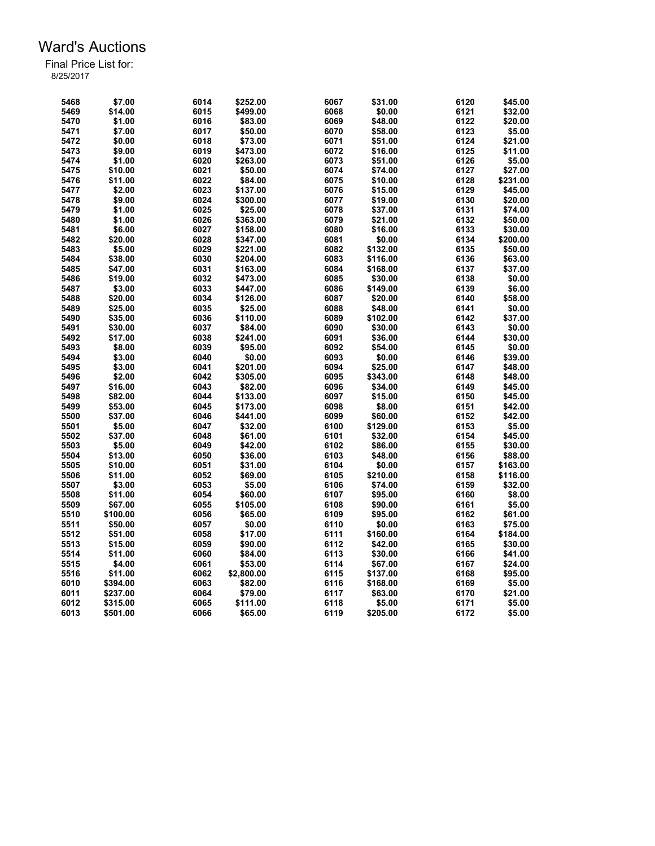| 5468 | \$7.00   | 6014 | \$252.00   | 6067 | \$31.00  | 6120 | \$45.00  |
|------|----------|------|------------|------|----------|------|----------|
| 5469 | \$14.00  | 6015 | \$499.00   | 6068 | \$0.00   | 6121 | \$32.00  |
| 5470 | \$1.00   | 6016 | \$83.00    | 6069 | \$48.00  | 6122 | \$20.00  |
| 5471 | \$7.00   | 6017 | \$50.00    | 6070 | \$58.00  | 6123 | \$5.00   |
| 5472 | \$0.00   | 6018 | \$73.00    | 6071 | \$51.00  | 6124 | \$21.00  |
| 5473 | \$9.00   | 6019 | \$473.00   | 6072 | \$16.00  | 6125 | \$11.00  |
| 5474 | \$1.00   | 6020 | \$263.00   | 6073 | \$51.00  | 6126 | \$5.00   |
| 5475 | \$10.00  | 6021 | \$50.00    | 6074 | \$74.00  | 6127 | \$27.00  |
| 5476 | \$11.00  | 6022 | \$84.00    | 6075 | \$10.00  | 6128 | \$231.00 |
| 5477 | \$2.00   | 6023 | \$137.00   | 6076 | \$15.00  | 6129 | \$45.00  |
| 5478 | \$9.00   | 6024 | \$300.00   | 6077 | \$19.00  | 6130 | \$20.00  |
| 5479 | \$1.00   | 6025 | \$25.00    | 6078 | \$37.00  | 6131 | \$74.00  |
| 5480 | \$1.00   | 6026 | \$363.00   | 6079 | \$21.00  | 6132 | \$50.00  |
| 5481 | \$6.00   | 6027 | \$158.00   | 6080 | \$16.00  | 6133 | \$30.00  |
| 5482 | \$20.00  | 6028 | \$347.00   | 6081 | \$0.00   | 6134 | \$200.00 |
| 5483 | \$5.00   | 6029 | \$221.00   | 6082 | \$132.00 | 6135 | \$50.00  |
| 5484 | \$38.00  | 6030 | \$204.00   | 6083 | \$116.00 | 6136 | \$63.00  |
| 5485 | \$47.00  | 6031 | \$163.00   | 6084 | \$168.00 | 6137 | \$37.00  |
| 5486 | \$19.00  | 6032 | \$473.00   | 6085 | \$30.00  | 6138 | \$0.00   |
| 5487 | \$3.00   | 6033 | \$447.00   | 6086 | \$149.00 | 6139 | \$6.00   |
| 5488 | \$20.00  | 6034 | \$126.00   | 6087 | \$20.00  | 6140 | \$58.00  |
|      |          |      |            |      |          |      |          |
| 5489 | \$25.00  | 6035 | \$25.00    | 6088 | \$48.00  | 6141 | \$0.00   |
| 5490 | \$35.00  | 6036 | \$110.00   | 6089 | \$102.00 | 6142 | \$37.00  |
| 5491 | \$30.00  | 6037 | \$84.00    | 6090 | \$30.00  | 6143 | \$0.00   |
| 5492 | \$17.00  | 6038 | \$241.00   | 6091 | \$36.00  | 6144 | \$30.00  |
| 5493 | \$8.00   | 6039 | \$95.00    | 6092 | \$54.00  | 6145 | \$0.00   |
| 5494 | \$3.00   | 6040 | \$0.00     | 6093 | \$0.00   | 6146 | \$39.00  |
| 5495 | \$3.00   | 6041 | \$201.00   | 6094 | \$25.00  | 6147 | \$48.00  |
| 5496 | \$2.00   | 6042 | \$305.00   | 6095 | \$343.00 | 6148 | \$48.00  |
| 5497 | \$16.00  | 6043 | \$82.00    | 6096 | \$34.00  | 6149 | \$45.00  |
| 5498 | \$82.00  | 6044 | \$133.00   | 6097 | \$15.00  | 6150 | \$45.00  |
| 5499 | \$53.00  | 6045 | \$173.00   | 6098 | \$8.00   | 6151 | \$42.00  |
| 5500 | \$37.00  | 6046 | \$441.00   | 6099 | \$60.00  | 6152 | \$42.00  |
| 5501 | \$5.00   | 6047 | \$32.00    | 6100 | \$129.00 | 6153 | \$5.00   |
| 5502 | \$37.00  | 6048 | \$61.00    | 6101 | \$32.00  | 6154 | \$45.00  |
| 5503 | \$5.00   | 6049 | \$42.00    | 6102 | \$86.00  | 6155 | \$30.00  |
| 5504 | \$13.00  | 6050 | \$36.00    | 6103 | \$48.00  | 6156 | \$88.00  |
| 5505 | \$10.00  | 6051 | \$31.00    | 6104 | \$0.00   | 6157 | \$163.00 |
| 5506 | \$11.00  | 6052 | \$69.00    | 6105 | \$210.00 | 6158 | \$116.00 |
| 5507 | \$3.00   | 6053 | \$5.00     | 6106 | \$74.00  | 6159 | \$32.00  |
| 5508 | \$11.00  | 6054 | \$60.00    | 6107 | \$95.00  | 6160 | \$8.00   |
| 5509 | \$67.00  | 6055 | \$105.00   | 6108 | \$90.00  | 6161 | \$5.00   |
| 5510 | \$100.00 | 6056 | \$65.00    | 6109 | \$95.00  | 6162 | \$61.00  |
| 5511 | \$50.00  | 6057 | \$0.00     | 6110 | \$0.00   | 6163 | \$75.00  |
| 5512 | \$51.00  | 6058 | \$17.00    | 6111 | \$160.00 | 6164 | \$184.00 |
|      |          |      |            |      |          |      |          |
| 5513 | \$15.00  | 6059 | \$90.00    | 6112 | \$42.00  | 6165 | \$30.00  |
| 5514 | \$11.00  | 6060 | \$84.00    | 6113 | \$30.00  | 6166 | \$41.00  |
| 5515 | \$4.00   | 6061 | \$53.00    | 6114 | \$67.00  | 6167 | \$24.00  |
| 5516 | \$11.00  | 6062 | \$2,800.00 | 6115 | \$137.00 | 6168 | \$95.00  |
| 6010 | \$394.00 | 6063 | \$82.00    | 6116 | \$168.00 | 6169 | \$5.00   |
| 6011 | \$237.00 | 6064 | \$79.00    | 6117 | \$63.00  | 6170 | \$21.00  |
| 6012 | \$315.00 | 6065 | \$111.00   | 6118 | \$5.00   | 6171 | \$5.00   |
| 6013 | \$501.00 | 6066 | \$65.00    | 6119 | \$205.00 | 6172 | \$5.00   |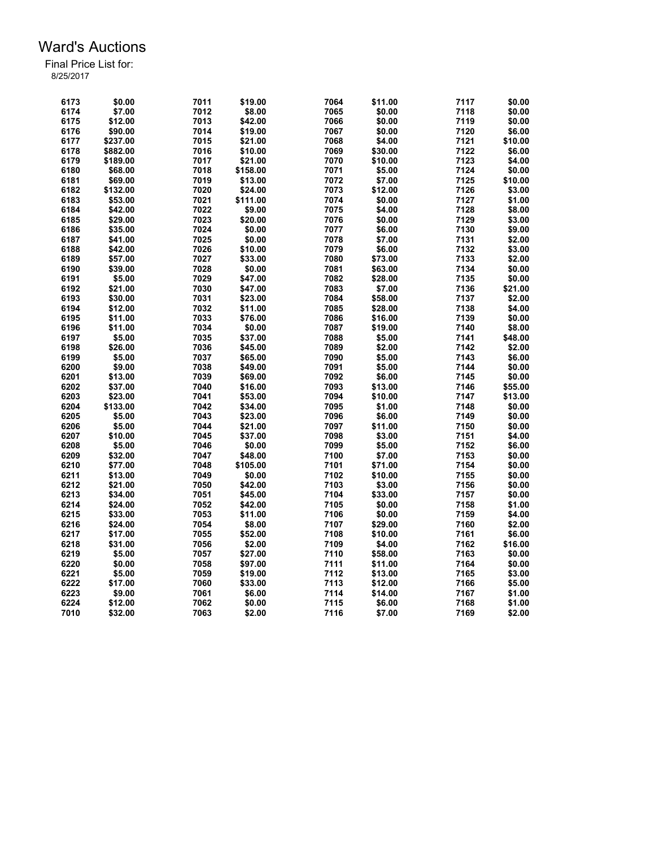| 6173 | \$0.00   | 7011 | \$19.00  | 7064 | \$11.00 | 7117 | \$0.00  |
|------|----------|------|----------|------|---------|------|---------|
| 6174 | \$7.00   | 7012 | \$8.00   | 7065 | \$0.00  | 7118 | \$0.00  |
| 6175 | \$12.00  | 7013 | \$42.00  | 7066 | \$0.00  | 7119 | \$0.00  |
| 6176 | \$90.00  | 7014 | \$19.00  | 7067 | \$0.00  | 7120 | \$6.00  |
| 6177 | \$237.00 | 7015 | \$21.00  | 7068 | \$4.00  | 7121 | \$10.00 |
| 6178 | \$882.00 | 7016 | \$10.00  | 7069 | \$30.00 | 7122 | \$6.00  |
| 6179 | \$189.00 | 7017 | \$21.00  | 7070 | \$10.00 | 7123 | \$4.00  |
| 6180 | \$68.00  | 7018 | \$158.00 | 7071 | \$5.00  | 7124 | \$0.00  |
| 6181 | \$69.00  | 7019 | \$13.00  | 7072 | \$7.00  | 7125 | \$10.00 |
| 6182 | \$132.00 | 7020 | \$24.00  | 7073 | \$12.00 | 7126 | \$3.00  |
| 6183 | \$53.00  | 7021 | \$111.00 | 7074 | \$0.00  | 7127 | \$1.00  |
| 6184 | \$42.00  | 7022 | \$9.00   | 7075 | \$4.00  | 7128 | \$8.00  |
| 6185 | \$29.00  | 7023 | \$20.00  | 7076 | \$0.00  | 7129 | \$3.00  |
| 6186 | \$35.00  | 7024 | \$0.00   | 7077 | \$6.00  | 7130 | \$9.00  |
| 6187 | \$41.00  | 7025 | \$0.00   | 7078 | \$7.00  | 7131 | \$2.00  |
| 6188 | \$42.00  | 7026 | \$10.00  | 7079 | \$6.00  | 7132 | \$3.00  |
| 6189 | \$57.00  | 7027 | \$33.00  | 7080 | \$73.00 | 7133 | \$2.00  |
| 6190 | \$39.00  | 7028 | \$0.00   | 7081 | \$63.00 | 7134 | \$0.00  |
| 6191 | \$5.00   | 7029 | \$47.00  | 7082 | \$28.00 | 7135 | \$0.00  |
| 6192 | \$21.00  | 7030 | \$47.00  | 7083 | \$7.00  | 7136 | \$21.00 |
| 6193 | \$30.00  | 7031 | \$23.00  | 7084 | \$58.00 | 7137 | \$2.00  |
| 6194 | \$12.00  | 7032 | \$11.00  | 7085 | \$28.00 | 7138 | \$4.00  |
| 6195 | \$11.00  | 7033 | \$76.00  | 7086 | \$16.00 | 7139 | \$0.00  |
| 6196 | \$11.00  | 7034 | \$0.00   | 7087 | \$19.00 | 7140 | \$8.00  |
| 6197 | \$5.00   | 7035 | \$37.00  | 7088 | \$5.00  | 7141 | \$48.00 |
| 6198 | \$26.00  | 7036 | \$45.00  | 7089 | \$2.00  | 7142 | \$2.00  |
| 6199 | \$5.00   | 7037 | \$65.00  | 7090 | \$5.00  | 7143 | \$6.00  |
| 6200 | \$9.00   | 7038 | \$49.00  | 7091 | \$5.00  | 7144 | \$0.00  |
| 6201 | \$13.00  | 7039 | \$69.00  | 7092 | \$6.00  | 7145 | \$0.00  |
| 6202 | \$37.00  | 7040 | \$16.00  | 7093 | \$13.00 | 7146 | \$55.00 |
| 6203 | \$23.00  | 7041 | \$53.00  | 7094 | \$10.00 | 7147 | \$13.00 |
| 6204 | \$133.00 | 7042 | \$34.00  | 7095 | \$1.00  | 7148 | \$0.00  |
| 6205 | \$5.00   | 7043 | \$23.00  | 7096 | \$6.00  | 7149 | \$0.00  |
| 6206 | \$5.00   | 7044 | \$21.00  | 7097 | \$11.00 | 7150 | \$0.00  |
| 6207 | \$10.00  | 7045 | \$37.00  | 7098 | \$3.00  | 7151 | \$4.00  |
| 6208 | \$5.00   | 7046 | \$0.00   | 7099 | \$5.00  | 7152 | \$6.00  |
| 6209 | \$32.00  | 7047 | \$48.00  | 7100 | \$7.00  | 7153 | \$0.00  |
| 6210 | \$77.00  | 7048 | \$105.00 | 7101 | \$71.00 | 7154 | \$0.00  |
| 6211 | \$13.00  | 7049 | \$0.00   | 7102 | \$10.00 | 7155 | \$0.00  |
| 6212 | \$21.00  | 7050 | \$42.00  | 7103 | \$3.00  | 7156 | \$0.00  |
| 6213 | \$34.00  | 7051 | \$45.00  | 7104 | \$33.00 | 7157 | \$0.00  |
| 6214 | \$24.00  | 7052 | \$42.00  | 7105 | \$0.00  | 7158 | \$1.00  |
| 6215 | \$33.00  | 7053 | \$11.00  | 7106 | \$0.00  | 7159 | \$4.00  |
| 6216 | \$24.00  | 7054 | \$8.00   | 7107 | \$29.00 | 7160 | \$2.00  |
| 6217 | \$17.00  | 7055 | \$52.00  | 7108 | \$10.00 | 7161 | \$6.00  |
| 6218 | \$31.00  | 7056 | \$2.00   | 7109 | \$4.00  | 7162 | \$16.00 |
| 6219 | \$5.00   | 7057 | \$27.00  | 7110 | \$58.00 | 7163 | \$0.00  |
| 6220 | \$0.00   | 7058 | \$97.00  | 7111 | \$11.00 | 7164 | \$0.00  |
| 6221 | \$5.00   | 7059 | \$19.00  | 7112 | \$13.00 | 7165 | \$3.00  |
| 6222 | \$17.00  | 7060 | \$33.00  | 7113 | \$12.00 | 7166 | \$5.00  |
| 6223 | \$9.00   | 7061 | \$6.00   | 7114 | \$14.00 | 7167 | \$1.00  |
| 6224 | \$12.00  | 7062 | \$0.00   | 7115 | \$6.00  | 7168 | \$1.00  |
| 7010 | \$32.00  | 7063 | \$2.00   | 7116 | \$7.00  | 7169 | \$2.00  |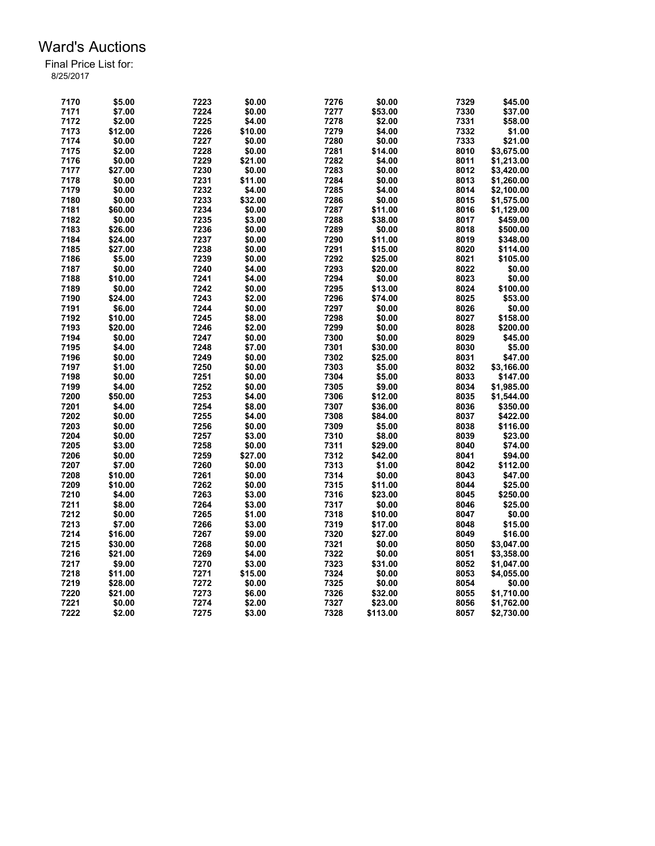| 7170 | \$5.00  | 7223 | \$0.00  | 7276 | \$0.00   | 7329 | \$45.00    |
|------|---------|------|---------|------|----------|------|------------|
| 7171 | \$7.00  | 7224 | \$0.00  | 7277 | \$53.00  | 7330 | \$37.00    |
| 7172 | \$2.00  | 7225 | \$4.00  | 7278 | \$2.00   | 7331 | \$58.00    |
| 7173 | \$12.00 | 7226 | \$10.00 | 7279 | \$4.00   | 7332 | \$1.00     |
| 7174 | \$0.00  | 7227 | \$0.00  | 7280 | \$0.00   | 7333 | \$21.00    |
| 7175 | \$2.00  | 7228 | \$0.00  | 7281 | \$14.00  | 8010 | \$3,675.00 |
| 7176 | \$0.00  | 7229 | \$21.00 | 7282 | \$4.00   | 8011 | \$1,213.00 |
| 7177 | \$27.00 | 7230 | \$0.00  | 7283 | \$0.00   | 8012 | \$3,420.00 |
| 7178 | \$0.00  | 7231 | \$11.00 | 7284 | \$0.00   | 8013 | \$1,260.00 |
| 7179 | \$0.00  | 7232 | \$4.00  | 7285 | \$4.00   | 8014 | \$2,100.00 |
| 7180 | \$0.00  | 7233 | \$32.00 | 7286 | \$0.00   | 8015 | \$1,575.00 |
| 7181 | \$60.00 | 7234 | \$0.00  | 7287 | \$11.00  | 8016 | \$1,129.00 |
| 7182 | \$0.00  | 7235 | \$3.00  | 7288 | \$38.00  | 8017 | \$459.00   |
| 7183 | \$26.00 | 7236 | \$0.00  | 7289 | \$0.00   | 8018 | \$500.00   |
| 7184 | \$24.00 | 7237 | \$0.00  | 7290 | \$11.00  | 8019 | \$348.00   |
| 7185 | \$27.00 | 7238 | \$0.00  | 7291 | \$15.00  | 8020 | \$114.00   |
| 7186 | \$5.00  | 7239 | \$0.00  | 7292 | \$25.00  | 8021 | \$105.00   |
|      |         | 7240 |         | 7293 |          | 8022 |            |
| 7187 | \$0.00  |      | \$4.00  |      | \$20.00  |      | \$0.00     |
| 7188 | \$10.00 | 7241 | \$4.00  | 7294 | \$0.00   | 8023 | \$0.00     |
| 7189 | \$0.00  | 7242 | \$0.00  | 7295 | \$13.00  | 8024 | \$100.00   |
| 7190 | \$24.00 | 7243 | \$2.00  | 7296 | \$74.00  | 8025 | \$53.00    |
| 7191 | \$6.00  | 7244 | \$0.00  | 7297 | \$0.00   | 8026 | \$0.00     |
| 7192 | \$10.00 | 7245 | \$8.00  | 7298 | \$0.00   | 8027 | \$158.00   |
| 7193 | \$20.00 | 7246 | \$2.00  | 7299 | \$0.00   | 8028 | \$200.00   |
| 7194 | \$0.00  | 7247 | \$0.00  | 7300 | \$0.00   | 8029 | \$45.00    |
| 7195 | \$4.00  | 7248 | \$7.00  | 7301 | \$30.00  | 8030 | \$5.00     |
| 7196 | \$0.00  | 7249 | \$0.00  | 7302 | \$25.00  | 8031 | \$47.00    |
| 7197 | \$1.00  | 7250 | \$0.00  | 7303 | \$5.00   | 8032 | \$3,166.00 |
| 7198 | \$0.00  | 7251 | \$0.00  | 7304 | \$5.00   | 8033 | \$147.00   |
| 7199 | \$4.00  | 7252 | \$0.00  | 7305 | \$9.00   | 8034 | \$1,985.00 |
| 7200 | \$50.00 | 7253 | \$4.00  | 7306 | \$12.00  | 8035 | \$1,544.00 |
| 7201 | \$4.00  | 7254 | \$8.00  | 7307 | \$36.00  | 8036 | \$350.00   |
| 7202 | \$0.00  | 7255 | \$4.00  | 7308 | \$84.00  | 8037 | \$422.00   |
| 7203 | \$0.00  | 7256 | \$0.00  | 7309 | \$5.00   | 8038 | \$116.00   |
| 7204 | \$0.00  | 7257 | \$3.00  | 7310 | \$8.00   | 8039 | \$23.00    |
| 7205 | \$3.00  | 7258 | \$0.00  | 7311 | \$29.00  | 8040 | \$74.00    |
| 7206 | \$0.00  | 7259 | \$27.00 | 7312 | \$42.00  | 8041 | \$94.00    |
| 7207 | \$7.00  | 7260 | \$0.00  | 7313 | \$1.00   | 8042 | \$112.00   |
| 7208 | \$10.00 | 7261 | \$0.00  | 7314 | \$0.00   | 8043 | \$47.00    |
| 7209 | \$10.00 | 7262 | \$0.00  | 7315 | \$11.00  | 8044 | \$25.00    |
| 7210 | \$4.00  | 7263 | \$3.00  | 7316 | \$23.00  | 8045 | \$250.00   |
| 7211 | \$8.00  | 7264 | \$3.00  | 7317 | \$0.00   | 8046 | \$25.00    |
| 7212 | \$0.00  | 7265 | \$1.00  | 7318 | \$10.00  | 8047 | \$0.00     |
| 7213 | \$7.00  | 7266 | \$3.00  | 7319 | \$17.00  | 8048 | \$15.00    |
|      |         |      |         | 7320 |          |      |            |
| 7214 | \$16.00 | 7267 | \$9.00  |      | \$27.00  | 8049 | \$16.00    |
| 7215 | \$30.00 | 7268 | \$0.00  | 7321 | \$0.00   | 8050 | \$3,047.00 |
| 7216 | \$21.00 | 7269 | \$4.00  | 7322 | \$0.00   | 8051 | \$3,358.00 |
| 7217 | \$9.00  | 7270 | \$3.00  | 7323 | \$31.00  | 8052 | \$1,047.00 |
| 7218 | \$11.00 | 7271 | \$15.00 | 7324 | \$0.00   | 8053 | \$4,055.00 |
| 7219 | \$28.00 | 7272 | \$0.00  | 7325 | \$0.00   | 8054 | \$0.00     |
| 7220 | \$21.00 | 7273 | \$6.00  | 7326 | \$32.00  | 8055 | \$1,710.00 |
| 7221 | \$0.00  | 7274 | \$2.00  | 7327 | \$23.00  | 8056 | \$1,762.00 |
| 7222 | \$2.00  | 7275 | \$3.00  | 7328 | \$113.00 | 8057 | \$2,730.00 |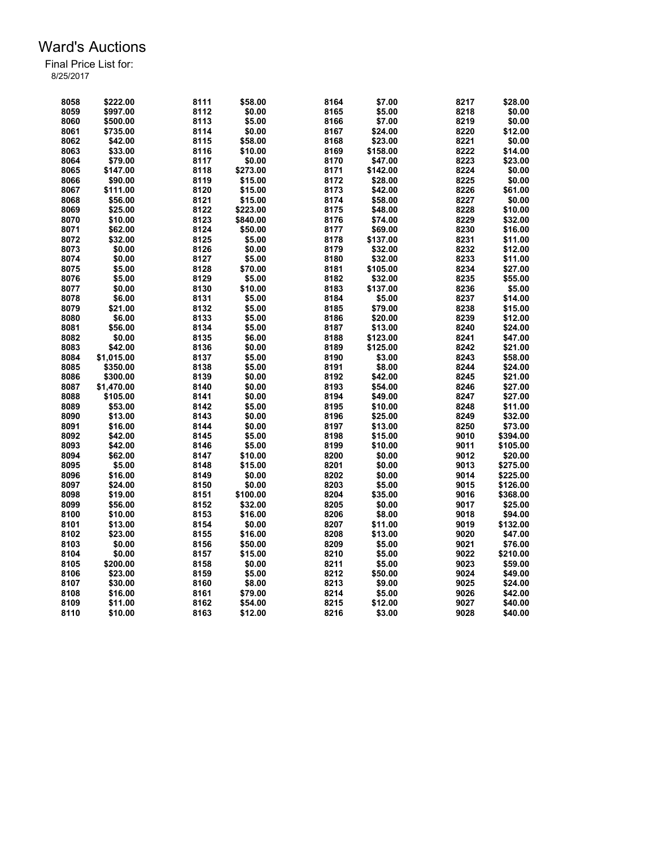| 8058 | \$222.00   | 8111 | \$58.00  | 8164 | \$7.00   | 8217 | \$28.00  |
|------|------------|------|----------|------|----------|------|----------|
| 8059 | \$997.00   | 8112 | \$0.00   | 8165 | \$5.00   | 8218 | \$0.00   |
| 8060 | \$500.00   | 8113 | \$5.00   | 8166 | \$7.00   | 8219 | \$0.00   |
| 8061 | \$735.00   | 8114 | \$0.00   | 8167 | \$24.00  | 8220 | \$12.00  |
| 8062 | \$42.00    | 8115 | \$58.00  | 8168 | \$23.00  | 8221 | \$0.00   |
| 8063 | \$33.00    | 8116 | \$10.00  | 8169 | \$158.00 | 8222 | \$14.00  |
| 8064 | \$79.00    | 8117 | \$0.00   | 8170 | \$47.00  | 8223 | \$23.00  |
| 8065 | \$147.00   | 8118 | \$273.00 | 8171 | \$142.00 | 8224 | \$0.00   |
| 8066 | \$90.00    | 8119 | \$15.00  | 8172 | \$28.00  | 8225 | \$0.00   |
| 8067 | \$111.00   | 8120 | \$15.00  | 8173 | \$42.00  | 8226 | \$61.00  |
| 8068 | \$56.00    | 8121 | \$15.00  | 8174 | \$58.00  | 8227 | \$0.00   |
| 8069 | \$25.00    | 8122 | \$223.00 | 8175 | \$48.00  | 8228 | \$10.00  |
| 8070 | \$10.00    | 8123 | \$840.00 | 8176 | \$74.00  | 8229 | \$32.00  |
| 8071 | \$62.00    | 8124 | \$50.00  | 8177 | \$69.00  | 8230 | \$16.00  |
| 8072 | \$32.00    | 8125 | \$5.00   | 8178 | \$137.00 | 8231 | \$11.00  |
| 8073 | \$0.00     | 8126 | \$0.00   | 8179 | \$32.00  | 8232 | \$12.00  |
| 8074 | \$0.00     | 8127 | \$5.00   | 8180 | \$32.00  | 8233 | \$11.00  |
|      | \$5.00     | 8128 | \$70.00  | 8181 |          | 8234 |          |
| 8075 |            |      |          |      | \$105.00 |      | \$27.00  |
| 8076 | \$5.00     | 8129 | \$5.00   | 8182 | \$32.00  | 8235 | \$55.00  |
| 8077 | \$0.00     | 8130 | \$10.00  | 8183 | \$137.00 | 8236 | \$5.00   |
| 8078 | \$6.00     | 8131 | \$5.00   | 8184 | \$5.00   | 8237 | \$14.00  |
| 8079 | \$21.00    | 8132 | \$5.00   | 8185 | \$79.00  | 8238 | \$15.00  |
| 8080 | \$6.00     | 8133 | \$5.00   | 8186 | \$20.00  | 8239 | \$12.00  |
| 8081 | \$56.00    | 8134 | \$5.00   | 8187 | \$13.00  | 8240 | \$24.00  |
| 8082 | \$0.00     | 8135 | \$6.00   | 8188 | \$123.00 | 8241 | \$47.00  |
| 8083 | \$42.00    | 8136 | \$0.00   | 8189 | \$125.00 | 8242 | \$21.00  |
| 8084 | \$1,015.00 | 8137 | \$5.00   | 8190 | \$3.00   | 8243 | \$58.00  |
| 8085 | \$350.00   | 8138 | \$5.00   | 8191 | \$8.00   | 8244 | \$24.00  |
| 8086 | \$300.00   | 8139 | \$0.00   | 8192 | \$42.00  | 8245 | \$21.00  |
| 8087 | \$1,470.00 | 8140 | \$0.00   | 8193 | \$54.00  | 8246 | \$27.00  |
| 8088 | \$105.00   | 8141 | \$0.00   | 8194 | \$49.00  | 8247 | \$27.00  |
| 8089 | \$53.00    | 8142 | \$5.00   | 8195 | \$10.00  | 8248 | \$11.00  |
| 8090 | \$13.00    | 8143 | \$0.00   | 8196 | \$25.00  | 8249 | \$32.00  |
| 8091 | \$16.00    | 8144 | \$0.00   | 8197 | \$13.00  | 8250 | \$73.00  |
| 8092 | \$42.00    | 8145 | \$5.00   | 8198 | \$15.00  | 9010 | \$394.00 |
| 8093 | \$42.00    | 8146 | \$5.00   | 8199 | \$10.00  | 9011 | \$105.00 |
| 8094 | \$62.00    | 8147 | \$10.00  | 8200 | \$0.00   | 9012 | \$20.00  |
| 8095 | \$5.00     | 8148 | \$15.00  | 8201 | \$0.00   | 9013 | \$275.00 |
| 8096 | \$16.00    | 8149 | \$0.00   | 8202 | \$0.00   | 9014 | \$225.00 |
| 8097 | \$24.00    | 8150 | \$0.00   | 8203 | \$5.00   | 9015 | \$126.00 |
| 8098 | \$19.00    | 8151 | \$100.00 | 8204 | \$35.00  | 9016 | \$368.00 |
| 8099 | \$56.00    | 8152 | \$32.00  | 8205 | \$0.00   | 9017 | \$25.00  |
| 8100 | \$10.00    | 8153 | \$16.00  | 8206 | \$8.00   | 9018 | \$94.00  |
| 8101 | \$13.00    | 8154 | \$0.00   | 8207 | \$11.00  | 9019 | \$132.00 |
| 8102 | \$23.00    | 8155 | \$16.00  | 8208 | \$13.00  | 9020 | \$47.00  |
| 8103 | \$0.00     | 8156 | \$50.00  | 8209 | \$5.00   | 9021 | \$76.00  |
| 8104 | \$0.00     | 8157 | \$15.00  | 8210 | \$5.00   | 9022 | \$210.00 |
| 8105 | \$200.00   | 8158 | \$0.00   | 8211 | \$5.00   | 9023 | \$59.00  |
| 8106 | \$23.00    | 8159 | \$5.00   | 8212 | \$50.00  | 9024 | \$49.00  |
| 8107 | \$30.00    | 8160 | \$8.00   | 8213 | \$9.00   | 9025 | \$24.00  |
| 8108 | \$16.00    | 8161 | \$79.00  | 8214 | \$5.00   | 9026 | \$42.00  |
| 8109 | \$11.00    | 8162 | \$54.00  | 8215 | \$12.00  | 9027 | \$40.00  |
|      |            |      |          |      |          |      |          |
| 8110 | \$10.00    | 8163 | \$12.00  | 8216 | \$3.00   | 9028 | \$40.00  |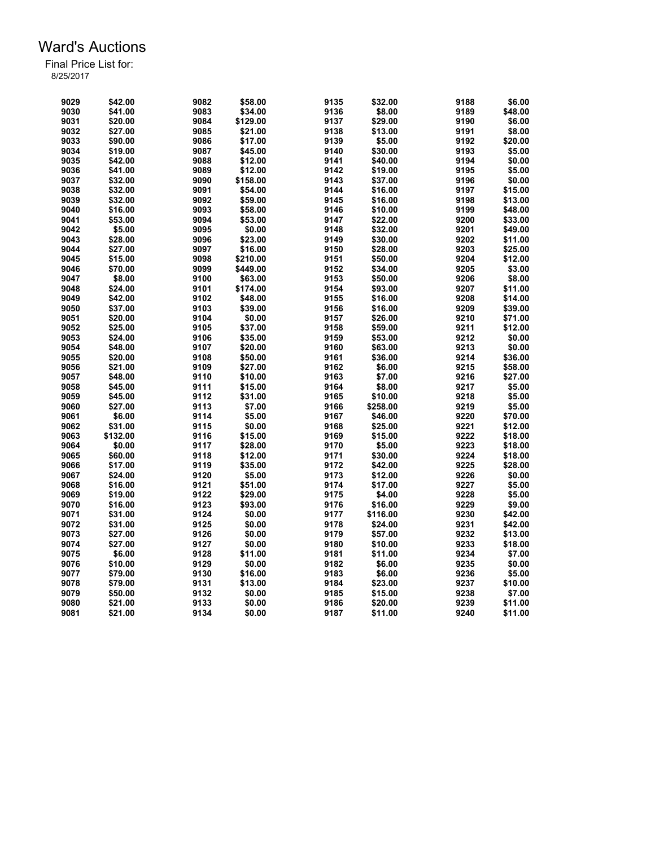| 9029 | \$42.00  | 9082 | \$58.00  | 9135 | \$32.00  | 9188 | \$6.00  |
|------|----------|------|----------|------|----------|------|---------|
| 9030 | \$41.00  | 9083 | \$34.00  | 9136 | \$8.00   | 9189 | \$48.00 |
| 9031 | \$20.00  | 9084 | \$129.00 | 9137 | \$29.00  | 9190 | \$6.00  |
| 9032 | \$27.00  | 9085 | \$21.00  | 9138 | \$13.00  | 9191 | \$8.00  |
| 9033 | \$90.00  | 9086 | \$17.00  | 9139 | \$5.00   | 9192 | \$20.00 |
| 9034 | \$19.00  | 9087 | \$45.00  | 9140 | \$30.00  | 9193 | \$5.00  |
| 9035 | \$42.00  | 9088 | \$12.00  | 9141 | \$40.00  | 9194 | \$0.00  |
| 9036 | \$41.00  | 9089 | \$12.00  | 9142 | \$19.00  | 9195 | \$5.00  |
| 9037 | \$32.00  | 9090 | \$158.00 | 9143 | \$37.00  | 9196 | \$0.00  |
| 9038 | \$32.00  | 9091 | \$54.00  | 9144 | \$16.00  | 9197 | \$15.00 |
| 9039 | \$32.00  | 9092 | \$59.00  | 9145 | \$16.00  | 9198 | \$13.00 |
| 9040 | \$16.00  | 9093 | \$58.00  | 9146 | \$10.00  | 9199 | \$48.00 |
| 9041 | \$53.00  | 9094 | \$53.00  | 9147 | \$22.00  | 9200 | \$33.00 |
| 9042 | \$5.00   | 9095 | \$0.00   | 9148 |          | 9201 | \$49.00 |
|      |          |      |          |      | \$32.00  |      |         |
| 9043 | \$28.00  | 9096 | \$23.00  | 9149 | \$30.00  | 9202 | \$11.00 |
| 9044 | \$27.00  | 9097 | \$16.00  | 9150 | \$28.00  | 9203 | \$25.00 |
| 9045 | \$15.00  | 9098 | \$210.00 | 9151 | \$50.00  | 9204 | \$12.00 |
| 9046 | \$70.00  | 9099 | \$449.00 | 9152 | \$34.00  | 9205 | \$3.00  |
| 9047 | \$8.00   | 9100 | \$63.00  | 9153 | \$50.00  | 9206 | \$8.00  |
| 9048 | \$24.00  | 9101 | \$174.00 | 9154 | \$93.00  | 9207 | \$11.00 |
| 9049 | \$42.00  | 9102 | \$48.00  | 9155 | \$16.00  | 9208 | \$14.00 |
| 9050 | \$37.00  | 9103 | \$39.00  | 9156 | \$16.00  | 9209 | \$39.00 |
| 9051 | \$20.00  | 9104 | \$0.00   | 9157 | \$26.00  | 9210 | \$71.00 |
| 9052 | \$25.00  | 9105 | \$37.00  | 9158 | \$59.00  | 9211 | \$12.00 |
| 9053 | \$24.00  | 9106 | \$35.00  | 9159 | \$53.00  | 9212 | \$0.00  |
| 9054 | \$48.00  | 9107 | \$20.00  | 9160 | \$63.00  | 9213 | \$0.00  |
| 9055 | \$20.00  | 9108 | \$50.00  | 9161 | \$36.00  | 9214 | \$36.00 |
| 9056 | \$21.00  | 9109 | \$27.00  | 9162 | \$6.00   | 9215 | \$58.00 |
| 9057 | \$48.00  | 9110 | \$10.00  | 9163 | \$7.00   | 9216 | \$27.00 |
| 9058 | \$45.00  | 9111 | \$15.00  | 9164 | \$8.00   | 9217 | \$5.00  |
| 9059 | \$45.00  | 9112 | \$31.00  | 9165 | \$10.00  | 9218 | \$5.00  |
| 9060 | \$27.00  | 9113 | \$7.00   | 9166 | \$258.00 | 9219 | \$5.00  |
| 9061 | \$6.00   | 9114 | \$5.00   | 9167 | \$46.00  | 9220 | \$70.00 |
| 9062 | \$31.00  | 9115 | \$0.00   | 9168 | \$25.00  | 9221 | \$12.00 |
| 9063 | \$132.00 | 9116 | \$15.00  | 9169 | \$15.00  | 9222 | \$18.00 |
| 9064 | \$0.00   | 9117 | \$28.00  | 9170 | \$5.00   | 9223 | \$18.00 |
| 9065 | \$60.00  | 9118 | \$12.00  | 9171 | \$30.00  | 9224 | \$18.00 |
| 9066 | \$17.00  | 9119 | \$35.00  | 9172 | \$42.00  | 9225 | \$28.00 |
| 9067 | \$24.00  | 9120 | \$5.00   | 9173 | \$12.00  | 9226 | \$0.00  |
| 9068 | \$16.00  | 9121 | \$51.00  | 9174 | \$17.00  | 9227 | \$5.00  |
| 9069 | \$19.00  | 9122 | \$29.00  | 9175 | \$4.00   | 9228 | \$5.00  |
| 9070 | \$16.00  | 9123 | \$93.00  | 9176 | \$16.00  | 9229 | \$9.00  |
| 9071 | \$31.00  | 9124 | \$0.00   | 9177 | \$116.00 | 9230 | \$42.00 |
|      |          |      |          |      |          |      |         |
| 9072 | \$31.00  | 9125 | \$0.00   | 9178 | \$24.00  | 9231 | \$42.00 |
| 9073 | \$27.00  | 9126 | \$0.00   | 9179 | \$57.00  | 9232 | \$13.00 |
| 9074 | \$27.00  | 9127 | \$0.00   | 9180 | \$10.00  | 9233 | \$18.00 |
| 9075 | \$6.00   | 9128 | \$11.00  | 9181 | \$11.00  | 9234 | \$7.00  |
| 9076 | \$10.00  | 9129 | \$0.00   | 9182 | \$6.00   | 9235 | \$0.00  |
| 9077 | \$79.00  | 9130 | \$16.00  | 9183 | \$6.00   | 9236 | \$5.00  |
| 9078 | \$79.00  | 9131 | \$13.00  | 9184 | \$23.00  | 9237 | \$10.00 |
| 9079 | \$50.00  | 9132 | \$0.00   | 9185 | \$15.00  | 9238 | \$7.00  |
| 9080 | \$21.00  | 9133 | \$0.00   | 9186 | \$20.00  | 9239 | \$11.00 |
| 9081 | \$21.00  | 9134 | \$0.00   | 9187 | \$11.00  | 9240 | \$11.00 |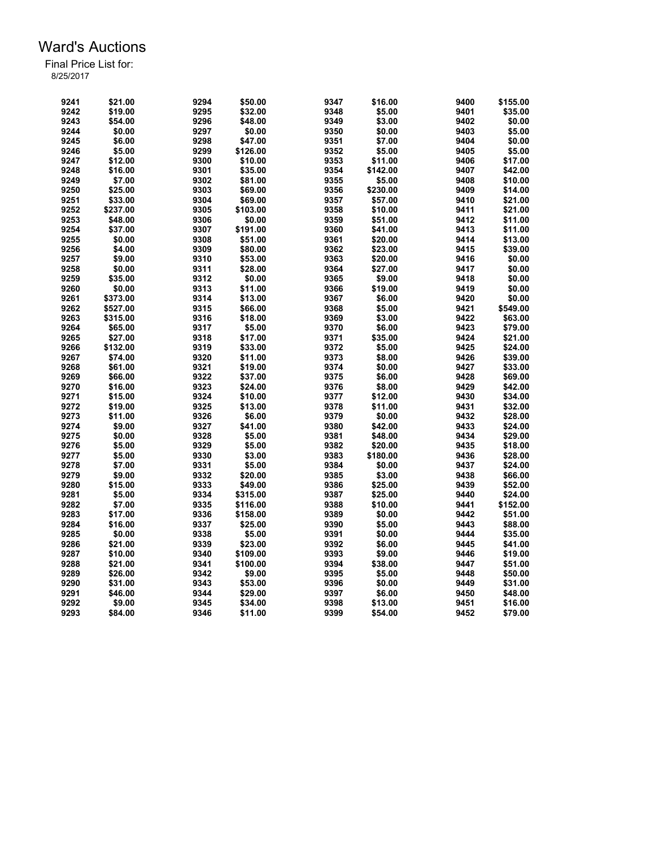| 9241 | \$21.00  | 9294 | \$50.00  | 9347 | \$16.00  | 9400 | \$155.00 |
|------|----------|------|----------|------|----------|------|----------|
| 9242 | \$19.00  | 9295 | \$32.00  | 9348 | \$5.00   | 9401 | \$35.00  |
| 9243 | \$54.00  | 9296 | \$48.00  | 9349 | \$3.00   | 9402 | \$0.00   |
| 9244 | \$0.00   | 9297 | \$0.00   | 9350 | \$0.00   | 9403 | \$5.00   |
| 9245 | \$6.00   | 9298 | \$47.00  | 9351 | \$7.00   | 9404 | \$0.00   |
| 9246 | \$5.00   | 9299 | \$126.00 | 9352 | \$5.00   | 9405 | \$5.00   |
| 9247 | \$12.00  | 9300 | \$10.00  | 9353 | \$11.00  | 9406 | \$17.00  |
| 9248 | \$16.00  | 9301 | \$35.00  | 9354 | \$142.00 | 9407 | \$42.00  |
| 9249 | \$7.00   | 9302 | \$81.00  | 9355 | \$5.00   | 9408 | \$10.00  |
| 9250 | \$25.00  | 9303 | \$69.00  | 9356 | \$230.00 | 9409 | \$14.00  |
| 9251 | \$33.00  | 9304 | \$69.00  | 9357 | \$57.00  | 9410 | \$21.00  |
| 9252 | \$237.00 | 9305 | \$103.00 | 9358 | \$10.00  | 9411 | \$21.00  |
| 9253 | \$48.00  | 9306 | \$0.00   | 9359 | \$51.00  | 9412 | \$11.00  |
| 9254 | \$37.00  | 9307 | \$191.00 | 9360 | \$41.00  | 9413 | \$11.00  |
| 9255 | \$0.00   | 9308 | \$51.00  | 9361 | \$20.00  | 9414 | \$13.00  |
| 9256 | \$4.00   | 9309 | \$80.00  | 9362 | \$23.00  | 9415 | \$39.00  |
| 9257 | \$9.00   | 9310 | \$53.00  | 9363 | \$20.00  | 9416 | \$0.00   |
| 9258 | \$0.00   | 9311 | \$28.00  | 9364 | \$27.00  | 9417 | \$0.00   |
| 9259 | \$35.00  | 9312 | \$0.00   | 9365 | \$9.00   | 9418 | \$0.00   |
| 9260 | \$0.00   | 9313 | \$11.00  | 9366 | \$19.00  | 9419 | \$0.00   |
|      |          |      |          |      |          |      |          |
| 9261 | \$373.00 | 9314 | \$13.00  | 9367 | \$6.00   | 9420 | \$0.00   |
| 9262 | \$527.00 | 9315 | \$66.00  | 9368 | \$5.00   | 9421 | \$549.00 |
| 9263 | \$315.00 | 9316 | \$18.00  | 9369 | \$3.00   | 9422 | \$63.00  |
| 9264 | \$65.00  | 9317 | \$5.00   | 9370 | \$6.00   | 9423 | \$79.00  |
| 9265 | \$27.00  | 9318 | \$17.00  | 9371 | \$35.00  | 9424 | \$21.00  |
| 9266 | \$132.00 | 9319 | \$33.00  | 9372 | \$5.00   | 9425 | \$24.00  |
| 9267 | \$74.00  | 9320 | \$11.00  | 9373 | \$8.00   | 9426 | \$39.00  |
| 9268 | \$61.00  | 9321 | \$19.00  | 9374 | \$0.00   | 9427 | \$33.00  |
| 9269 | \$66.00  | 9322 | \$37.00  | 9375 | \$6.00   | 9428 | \$69.00  |
| 9270 | \$16.00  | 9323 | \$24.00  | 9376 | \$8.00   | 9429 | \$42.00  |
| 9271 | \$15.00  | 9324 | \$10.00  | 9377 | \$12.00  | 9430 | \$34.00  |
| 9272 | \$19.00  | 9325 | \$13.00  | 9378 | \$11.00  | 9431 | \$32.00  |
| 9273 | \$11.00  | 9326 | \$6.00   | 9379 | \$0.00   | 9432 | \$28.00  |
| 9274 | \$9.00   | 9327 | \$41.00  | 9380 | \$42.00  | 9433 | \$24.00  |
| 9275 | \$0.00   | 9328 | \$5.00   | 9381 | \$48.00  | 9434 | \$29.00  |
| 9276 | \$5.00   | 9329 | \$5.00   | 9382 | \$20.00  | 9435 | \$18.00  |
| 9277 | \$5.00   | 9330 | \$3.00   | 9383 | \$180.00 | 9436 | \$28.00  |
| 9278 | \$7.00   | 9331 | \$5.00   | 9384 | \$0.00   | 9437 | \$24.00  |
| 9279 | \$9.00   | 9332 | \$20.00  | 9385 | \$3.00   | 9438 | \$66.00  |
| 9280 | \$15.00  | 9333 | \$49.00  | 9386 | \$25.00  | 9439 | \$52.00  |
| 9281 | \$5.00   | 9334 | \$315.00 | 9387 | \$25.00  | 9440 | \$24.00  |
| 9282 | \$7.00   | 9335 | \$116.00 | 9388 | \$10.00  | 9441 | \$152.00 |
| 9283 | \$17.00  | 9336 | \$158.00 | 9389 | \$0.00   | 9442 | \$51.00  |
| 9284 | \$16.00  | 9337 | \$25.00  | 9390 | \$5.00   | 9443 | \$88.00  |
| 9285 | \$0.00   | 9338 | \$5.00   | 9391 | \$0.00   | 9444 | \$35.00  |
| 9286 | \$21.00  | 9339 | \$23.00  | 9392 | \$6.00   | 9445 | \$41.00  |
|      |          |      |          | 9393 | \$9.00   |      |          |
| 9287 | \$10.00  | 9340 | \$109.00 |      |          | 9446 | \$19.00  |
| 9288 | \$21.00  | 9341 | \$100.00 | 9394 | \$38.00  | 9447 | \$51.00  |
| 9289 | \$26.00  | 9342 | \$9.00   | 9395 | \$5.00   | 9448 | \$50.00  |
| 9290 | \$31.00  | 9343 | \$53.00  | 9396 | \$0.00   | 9449 | \$31.00  |
| 9291 | \$46.00  | 9344 | \$29.00  | 9397 | \$6.00   | 9450 | \$48.00  |
| 9292 | \$9.00   | 9345 | \$34.00  | 9398 | \$13.00  | 9451 | \$16.00  |
| 9293 | \$84.00  | 9346 | \$11.00  | 9399 | \$54.00  | 9452 | \$79.00  |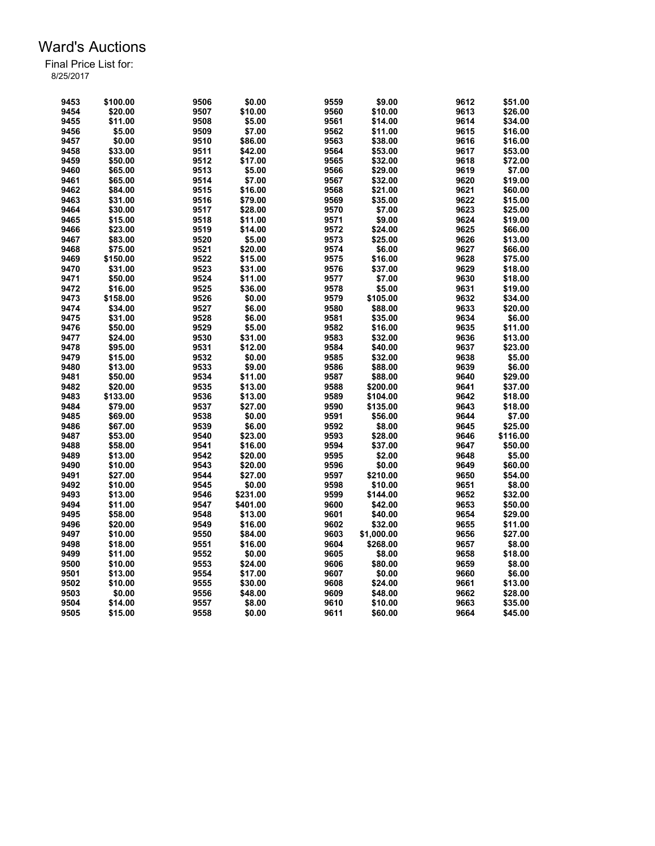| 9453 | \$100.00 | 9506 | \$0.00   | 9559 | \$9.00     | 9612 | \$51.00            |
|------|----------|------|----------|------|------------|------|--------------------|
| 9454 | \$20.00  | 9507 | \$10.00  | 9560 | \$10.00    | 9613 | \$26.00            |
| 9455 | \$11.00  | 9508 | \$5.00   | 9561 | \$14.00    | 9614 | \$34.00            |
| 9456 | \$5.00   | 9509 | \$7.00   | 9562 | \$11.00    | 9615 | \$16.00            |
| 9457 | \$0.00   | 9510 | \$86.00  | 9563 | \$38.00    | 9616 | \$16.00            |
| 9458 | \$33.00  | 9511 | \$42.00  | 9564 | \$53.00    | 9617 | \$53.00            |
| 9459 | \$50.00  | 9512 | \$17.00  | 9565 | \$32.00    | 9618 | \$72.00            |
| 9460 | \$65.00  | 9513 | \$5.00   | 9566 | \$29.00    | 9619 | \$7.00             |
| 9461 | \$65.00  | 9514 | \$7.00   | 9567 | \$32.00    | 9620 | \$19.00            |
| 9462 | \$84.00  | 9515 | \$16.00  | 9568 | \$21.00    | 9621 | \$60.00            |
| 9463 | \$31.00  | 9516 | \$79.00  | 9569 | \$35.00    | 9622 | \$15.00            |
| 9464 | \$30.00  | 9517 | \$28.00  | 9570 | \$7.00     | 9623 | \$25.00            |
| 9465 | \$15.00  | 9518 | \$11.00  | 9571 | \$9.00     | 9624 | \$19.00            |
| 9466 | \$23.00  | 9519 | \$14.00  | 9572 | \$24.00    | 9625 | \$66.00            |
| 9467 | \$83.00  | 9520 | \$5.00   | 9573 | \$25.00    | 9626 | \$13.00            |
| 9468 | \$75.00  | 9521 | \$20.00  | 9574 | \$6.00     | 9627 | \$66.00            |
| 9469 | \$150.00 | 9522 | \$15.00  | 9575 | \$16.00    | 9628 | \$75.00            |
| 9470 | \$31.00  | 9523 | \$31.00  | 9576 | \$37.00    | 9629 | \$18.00            |
| 9471 | \$50.00  | 9524 | \$11.00  | 9577 | \$7.00     | 9630 | \$18.00            |
| 9472 | \$16.00  | 9525 | \$36.00  | 9578 | \$5.00     | 9631 | \$19.00            |
| 9473 |          | 9526 | \$0.00   | 9579 | \$105.00   | 9632 |                    |
| 9474 | \$158.00 | 9527 | \$6.00   | 9580 | \$88.00    | 9633 | \$34.00<br>\$20.00 |
|      | \$34.00  |      |          |      |            |      |                    |
| 9475 | \$31.00  | 9528 | \$6.00   | 9581 | \$35.00    | 9634 | \$6.00             |
| 9476 | \$50.00  | 9529 | \$5.00   | 9582 | \$16.00    | 9635 | \$11.00            |
| 9477 | \$24.00  | 9530 | \$31.00  | 9583 | \$32.00    | 9636 | \$13.00            |
| 9478 | \$95.00  | 9531 | \$12.00  | 9584 | \$40.00    | 9637 | \$23.00            |
| 9479 | \$15.00  | 9532 | \$0.00   | 9585 | \$32.00    | 9638 | \$5.00             |
| 9480 | \$13.00  | 9533 | \$9.00   | 9586 | \$88.00    | 9639 | \$6.00             |
| 9481 | \$50.00  | 9534 | \$11.00  | 9587 | \$88.00    | 9640 | \$29.00            |
| 9482 | \$20.00  | 9535 | \$13.00  | 9588 | \$200.00   | 9641 | \$37.00            |
| 9483 | \$133.00 | 9536 | \$13.00  | 9589 | \$104.00   | 9642 | \$18.00            |
| 9484 | \$79.00  | 9537 | \$27.00  | 9590 | \$135.00   | 9643 | \$18.00            |
| 9485 | \$69.00  | 9538 | \$0.00   | 9591 | \$56.00    | 9644 | \$7.00             |
| 9486 | \$67.00  | 9539 | \$6.00   | 9592 | \$8.00     | 9645 | \$25.00            |
| 9487 | \$53.00  | 9540 | \$23.00  | 9593 | \$28.00    | 9646 | \$116.00           |
| 9488 | \$58.00  | 9541 | \$16.00  | 9594 | \$37.00    | 9647 | \$50.00            |
| 9489 | \$13.00  | 9542 | \$20.00  | 9595 | \$2.00     | 9648 | \$5.00             |
| 9490 | \$10.00  | 9543 | \$20.00  | 9596 | \$0.00     | 9649 | \$60.00            |
| 9491 | \$27.00  | 9544 | \$27.00  | 9597 | \$210.00   | 9650 | \$54.00            |
| 9492 | \$10.00  | 9545 | \$0.00   | 9598 | \$10.00    | 9651 | \$8.00             |
| 9493 | \$13.00  | 9546 | \$231.00 | 9599 | \$144.00   | 9652 | \$32.00            |
| 9494 | \$11.00  | 9547 | \$401.00 | 9600 | \$42.00    | 9653 | \$50.00            |
| 9495 | \$58.00  | 9548 | \$13.00  | 9601 | \$40.00    | 9654 | \$29.00            |
| 9496 | \$20.00  | 9549 | \$16.00  | 9602 | \$32.00    | 9655 | \$11.00            |
| 9497 | \$10.00  | 9550 | \$84.00  | 9603 | \$1,000.00 | 9656 | \$27.00            |
| 9498 | \$18.00  | 9551 | \$16.00  | 9604 | \$268.00   | 9657 | \$8.00             |
| 9499 | \$11.00  | 9552 | \$0.00   | 9605 | \$8.00     | 9658 | \$18.00            |
| 9500 | \$10.00  | 9553 | \$24.00  | 9606 | \$80.00    | 9659 | \$8.00             |
| 9501 | \$13.00  | 9554 | \$17.00  | 9607 | \$0.00     | 9660 | \$6.00             |
| 9502 | \$10.00  | 9555 | \$30.00  | 9608 | \$24.00    | 9661 | \$13.00            |
| 9503 | \$0.00   | 9556 | \$48.00  | 9609 | \$48.00    | 9662 | \$28.00            |
| 9504 | \$14.00  | 9557 | \$8.00   | 9610 | \$10.00    | 9663 | \$35.00            |
| 9505 | \$15.00  | 9558 | \$0.00   | 9611 | \$60.00    | 9664 | \$45.00            |
|      |          |      |          |      |            |      |                    |